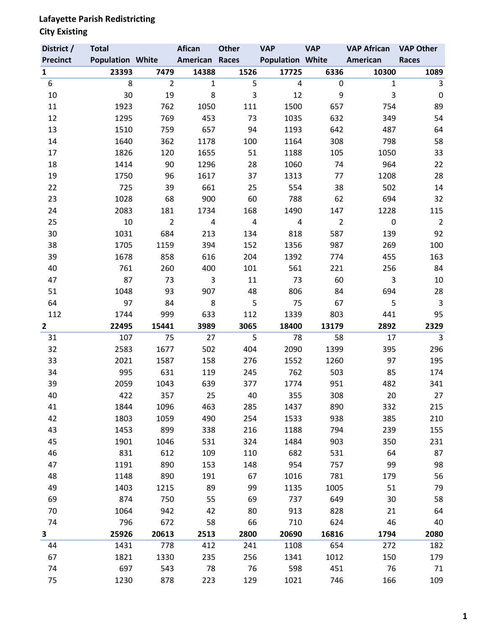## **Lafayette Parish Redistricting**

### **City Existing**

| District /      | <b>Total</b>            |                | <b>Afican</b>         | <b>Other</b>   | <b>VAP</b>              | <b>VAP</b>     | <b>VAP African</b> | <b>VAP Other</b> |
|-----------------|-------------------------|----------------|-----------------------|----------------|-------------------------|----------------|--------------------|------------------|
| <b>Precinct</b> | <b>Population White</b> |                | <b>American Races</b> |                | <b>Population White</b> |                | American           | <b>Races</b>     |
| $\mathbf{1}$    | 23393                   | 7479           | 14388                 | 1526           | 17725                   | 6336           | 10300              | 1089             |
| 6               | 8                       | $\overline{2}$ | $\mathbf{1}$          | 5              | 4                       | 0              | $\mathbf{1}$       | 3                |
| 10              | 30                      | 19             | 8                     | 3              | 12                      | 9              | $\overline{3}$     | $\boldsymbol{0}$ |
| 11              | 1923                    | 762            | 1050                  | 111            | 1500                    | 657            | 754                | 89               |
| 12              | 1295                    | 769            | 453                   | 73             | 1035                    | 632            | 349                | 54               |
| 13              | 1510                    | 759            | 657                   | 94             | 1193                    | 642            | 487                | 64               |
| 14              | 1640                    | 362            | 1178                  | 100            | 1164                    | 308            | 798                | 58               |
| 17              | 1826                    | 120            | 1655                  | 51             | 1188                    | 105            | 1050               | 33               |
| 18              | 1414                    | 90             | 1296                  | 28             | 1060                    | 74             | 964                | 22               |
| 19              | 1750                    | 96             | 1617                  | 37             | 1313                    | 77             | 1208               | 28               |
| 22              | 725                     | 39             | 661                   | 25             | 554                     | 38             | 502                | 14               |
| 23              | 1028                    | 68             | 900                   | 60             | 788                     | 62             | 694                | 32               |
| 24              | 2083                    | 181            | 1734                  | 168            | 1490                    | 147            | 1228               | 115              |
| 25              | 10                      | $\overline{2}$ | 4                     | $\overline{4}$ | 4                       | $\overline{2}$ | $\pmb{0}$          | $\overline{2}$   |
| 30              | 1031                    | 684            | 213                   | 134            | 818                     | 587            | 139                | 92               |
| 38              | 1705                    | 1159           | 394                   | 152            | 1356                    | 987            | 269                | 100              |
| 39              | 1678                    | 858            | 616                   | 204            | 1392                    | 774            | 455                | 163              |
| 40              | 761                     | 260            | 400                   | 101            | 561                     | 221            | 256                | 84               |
| 47              | 87                      | 73             | 3                     | 11             | 73                      | 60             | 3                  | 10               |
| 51              | 1048                    | 93             | 907                   | 48             | 806                     | 84             | 694                | 28               |
| 64              | 97                      | 84             | 8                     | 5              | 75                      | 67             | 5                  | $\mathsf{3}$     |
| 112             | 1744                    | 999            | 633                   | 112            | 1339                    | 803            | 441                | 95               |
| $\overline{2}$  | 22495                   | 15441          | 3989                  | 3065           | 18400                   | 13179          | 2892               | 2329             |
| 31              | 107                     | 75             | 27                    | 5              | 78                      | 58             | 17                 | $\mathbf{3}$     |
| 32              | 2583                    | 1677           | 502                   | 404            | 2090                    | 1399           | 395                | 296              |
| 33              | 2021                    | 1587           | 158                   | 276            | 1552                    | 1260           | 97                 | 195              |
| 34              | 995                     | 631            | 119                   | 245            | 762                     | 503            | 85                 | 174              |
| 39              | 2059                    | 1043           | 639                   | 377            | 1774                    | 951            | 482                | 341              |
| 40              | 422                     | 357            | 25                    | 40             | 355                     | 308            | 20                 | 27               |
| 41              | 1844                    | 1096           | 463                   | 285            | 1437                    | 890            | 332                | 215              |
| 42              | 1803                    | 1059           | 490                   | 254            | 1533                    | 938            | 385                | 210              |
| 43              | 1453                    | 899            | 338                   | 216            | 1188                    | 794            | 239                | 155              |
| 45              | 1901                    | 1046           | 531                   | 324            | 1484                    | 903            | 350                | 231              |
| 46              | 831                     | 612            | 109                   | 110            | 682                     | 531            | 64                 | 87               |
| 47              | 1191                    | 890            | 153                   | 148            | 954                     | 757            | 99                 | 98               |
| 48              | 1148                    | 890            | 191                   | 67             | 1016                    | 781            | 179                | 56               |
| 49              | 1403                    | 1215           | 89                    | 99             | 1135                    | 1005           | 51                 | 79               |
| 69              | 874                     | 750            | 55                    | 69             | 737                     | 649            | 30                 | 58               |
| 70              | 1064                    | 942            | 42                    | 80             | 913                     | 828            | 21                 | 64               |
| 74              | 796                     | 672            | 58                    | 66             | 710                     | 624            | 46                 | 40               |
| 3               | 25926                   | 20613          | 2513                  | 2800           | 20690                   | 16816          | 1794               | 2080             |
| 44              | 1431                    | 778            | 412                   | 241            | 1108                    | 654            | 272                | 182              |
| 67              | 1821                    | 1330           | 235                   | 256            | 1341                    | 1012           | 150                | 179              |
| 74              | 697                     | 543            | 78                    | 76             | 598                     | 451            | 76                 | 71               |
| 75              | 1230                    | 878            | 223                   | 129            | 1021                    | 746            | 166                | 109              |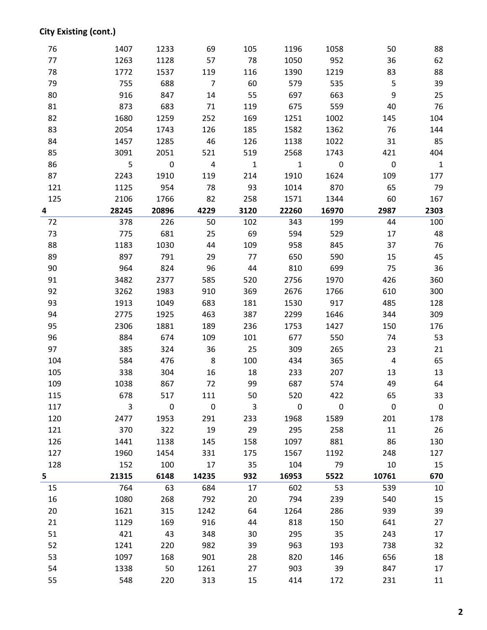## **City Existing (cont.)**

| 76  | 1407  | 1233      | 69             | 105          | 1196         | 1058      | 50                      | 88           |
|-----|-------|-----------|----------------|--------------|--------------|-----------|-------------------------|--------------|
| 77  | 1263  | 1128      | 57             | 78           | 1050         | 952       | 36                      | 62           |
| 78  | 1772  | 1537      | 119            | 116          | 1390         | 1219      | 83                      | 88           |
| 79  | 755   | 688       | $\overline{7}$ | 60           | 579          | 535       | 5                       | 39           |
| 80  | 916   | 847       | 14             | 55           | 697          | 663       | 9                       | 25           |
| 81  | 873   | 683       | 71             | 119          | 675          | 559       | 40                      | 76           |
| 82  | 1680  | 1259      | 252            | 169          | 1251         | 1002      | 145                     | 104          |
| 83  | 2054  | 1743      | 126            | 185          | 1582         | 1362      | 76                      | 144          |
| 84  | 1457  | 1285      | 46             | 126          | 1138         | 1022      | 31                      | 85           |
| 85  | 3091  | 2051      | 521            | 519          | 2568         | 1743      | 421                     | 404          |
| 86  | 5     | $\pmb{0}$ | $\overline{4}$ | $\mathbf{1}$ | $\mathbf{1}$ | $\pmb{0}$ | $\pmb{0}$               | $\mathbf{1}$ |
| 87  | 2243  | 1910      | 119            | 214          | 1910         | 1624      | 109                     | 177          |
| 121 | 1125  | 954       | 78             | 93           | 1014         | 870       | 65                      | 79           |
| 125 | 2106  | 1766      | 82             | 258          | 1571         | 1344      | 60                      | 167          |
| 4   | 28245 | 20896     | 4229           | 3120         | 22260        | 16970     | 2987                    | 2303         |
| 72  | 378   | 226       | 50             | 102          | 343          | 199       | 44                      | 100          |
| 73  | 775   | 681       | 25             | 69           | 594          | 529       | 17                      | 48           |
| 88  | 1183  | 1030      | 44             | 109          | 958          | 845       | 37                      | 76           |
| 89  | 897   | 791       | 29             | 77           | 650          | 590       | 15                      | 45           |
| 90  | 964   | 824       | 96             | 44           | 810          | 699       | 75                      | 36           |
| 91  | 3482  | 2377      | 585            | 520          | 2756         | 1970      | 426                     | 360          |
| 92  | 3262  | 1983      | 910            | 369          | 2676         | 1766      | 610                     | 300          |
| 93  | 1913  | 1049      | 683            | 181          | 1530         | 917       | 485                     | 128          |
| 94  | 2775  | 1925      | 463            | 387          | 2299         | 1646      | 344                     | 309          |
| 95  | 2306  | 1881      | 189            | 236          | 1753         | 1427      | 150                     | 176          |
| 96  | 884   | 674       | 109            | 101          | 677          | 550       | 74                      | 53           |
| 97  | 385   | 324       | 36             | 25           | 309          | 265       | 23                      | 21           |
| 104 | 584   | 476       | 8              | 100          | 434          | 365       | $\overline{\mathbf{4}}$ | 65           |
| 105 | 338   | 304       | 16             | 18           | 233          | 207       | 13                      | 13           |
| 109 | 1038  | 867       | 72             | 99           | 687          | 574       | 49                      | 64           |
| 115 | 678   | 517       | 111            | 50           | 520          | 422       | 65                      | 33           |
| 117 | 3     | $\pmb{0}$ | $\pmb{0}$      | 3            | $\mathbf 0$  | $\pmb{0}$ | $\pmb{0}$               | 0            |
| 120 | 2477  | 1953      | 291            | 233          | 1968         | 1589      | 201                     | 178          |
| 121 | 370   | 322       | 19             | 29           | 295          | 258       | 11                      | 26           |
| 126 | 1441  | 1138      | 145            | 158          | 1097         | 881       | 86                      | 130          |
| 127 | 1960  | 1454      | 331            | 175          | 1567         | 1192      | 248                     | 127          |
| 128 | 152   | 100       | 17             | 35           | 104          | 79        | 10                      | 15           |
| 5   | 21315 | 6148      | 14235          | 932          | 16953        | 5522      | 10761                   | 670          |
| 15  | 764   | 63        | 684            | 17           | 602          | 53        | 539                     | 10           |
| 16  | 1080  | 268       | 792            | 20           | 794          | 239       | 540                     | 15           |
| 20  | 1621  | 315       | 1242           | 64           | 1264         | 286       | 939                     | 39           |
| 21  | 1129  | 169       | 916            | 44           | 818          | 150       | 641                     | 27           |
| 51  | 421   | 43        | 348            | 30           | 295          | 35        | 243                     | 17           |
| 52  | 1241  | 220       | 982            | 39           | 963          | 193       | 738                     | 32           |
| 53  | 1097  | 168       | 901            | 28           | 820          | 146       | 656                     | 18           |
| 54  | 1338  | 50        | 1261           | 27           | 903          | 39        | 847                     | 17           |
| 55  | 548   | 220       | 313            | 15           | 414          | 172       | 231                     | 11           |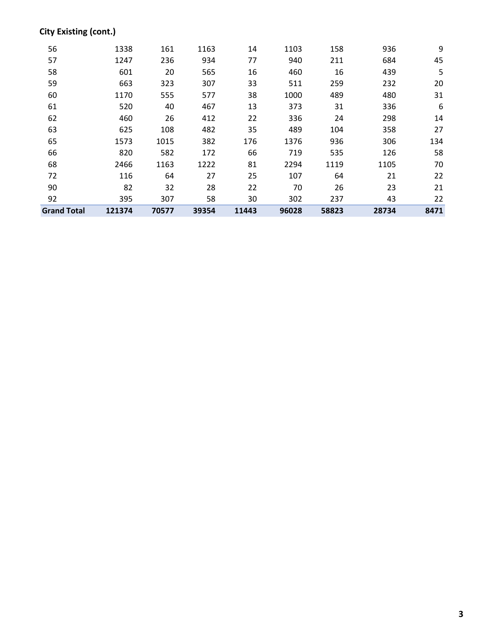## **City Existing (cont.)**

| <b>Grand Total</b> | 121374 | 70577 | 39354 | 11443 | 96028 | 58823 | 28734 | 8471 |
|--------------------|--------|-------|-------|-------|-------|-------|-------|------|
| 92                 | 395    | 307   | 58    | 30    | 302   | 237   | 43    | 22   |
| 90                 | 82     | 32    | 28    | 22    | 70    | 26    | 23    | 21   |
| 72                 | 116    | 64    | 27    | 25    | 107   | 64    | 21    | 22   |
| 68                 | 2466   | 1163  | 1222  | 81    | 2294  | 1119  | 1105  | 70   |
| 66                 | 820    | 582   | 172   | 66    | 719   | 535   | 126   | 58   |
| 65                 | 1573   | 1015  | 382   | 176   | 1376  | 936   | 306   | 134  |
| 63                 | 625    | 108   | 482   | 35    | 489   | 104   | 358   | 27   |
| 62                 | 460    | 26    | 412   | 22    | 336   | 24    | 298   | 14   |
| 61                 | 520    | 40    | 467   | 13    | 373   | 31    | 336   | 6    |
| 60                 | 1170   | 555   | 577   | 38    | 1000  | 489   | 480   | 31   |
| 59                 | 663    | 323   | 307   | 33    | 511   | 259   | 232   | 20   |
| 58                 | 601    | 20    | 565   | 16    | 460   | 16    | 439   | 5    |
| 57                 | 1247   | 236   | 934   | 77    | 940   | 211   | 684   | 45   |
| 56                 | 1338   | 161   | 1163  | 14    | 1103  | 158   | 936   | 9    |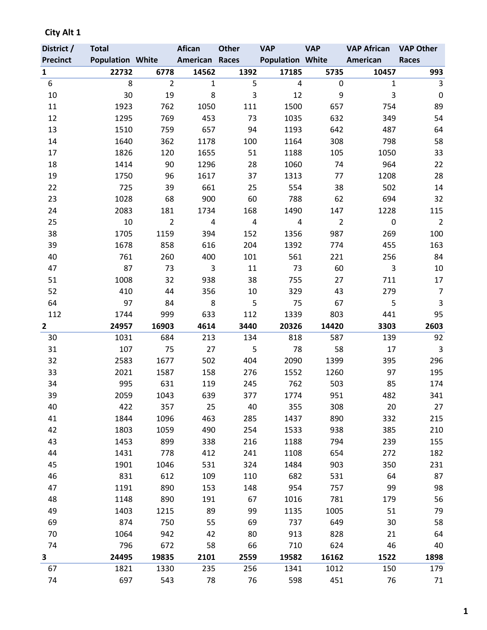| District /      | <b>Total</b>            |                | Afican         | <b>Other</b>            | <b>VAP</b>              | <b>VAP</b>     | <b>VAP African</b> | <b>VAP Other</b> |
|-----------------|-------------------------|----------------|----------------|-------------------------|-------------------------|----------------|--------------------|------------------|
| <b>Precinct</b> | <b>Population White</b> |                | American Races |                         | <b>Population White</b> |                | American           | Races            |
| $\mathbf{1}$    | 22732                   | 6778           | 14562          | 1392                    | 17185                   | 5735           | 10457              | 993              |
| 6               | 8                       | $\overline{2}$ | $\mathbf{1}$   | 5                       | $\overline{a}$          | $\pmb{0}$      | $\mathbf{1}$       | 3                |
| 10              | 30                      | 19             | 8              | 3                       | 12                      | 9              | 3                  | $\mathbf 0$      |
| 11              | 1923                    | 762            | 1050           | 111                     | 1500                    | 657            | 754                | 89               |
| 12              | 1295                    | 769            | 453            | 73                      | 1035                    | 632            | 349                | 54               |
| 13              | 1510                    | 759            | 657            | 94                      | 1193                    | 642            | 487                | 64               |
| 14              | 1640                    | 362            | 1178           | 100                     | 1164                    | 308            | 798                | 58               |
| 17              | 1826                    | 120            | 1655           | 51                      | 1188                    | 105            | 1050               | 33               |
| 18              | 1414                    | 90             | 1296           | 28                      | 1060                    | 74             | 964                | 22               |
| 19              | 1750                    | 96             | 1617           | 37                      | 1313                    | 77             | 1208               | 28               |
| 22              | 725                     | 39             | 661            | 25                      | 554                     | 38             | 502                | 14               |
| 23              | 1028                    | 68             | 900            | 60                      | 788                     | 62             | 694                | 32               |
| 24              | 2083                    | 181            | 1734           | 168                     | 1490                    | 147            | 1228               | 115              |
| 25              | 10                      | $\overline{2}$ | $\overline{4}$ | $\overline{\mathbf{4}}$ | 4                       | $\overline{2}$ | $\pmb{0}$          | $\overline{2}$   |
| 38              | 1705                    | 1159           | 394            | 152                     | 1356                    | 987            | 269                | 100              |
| 39              | 1678                    | 858            | 616            | 204                     | 1392                    | 774            | 455                | 163              |
| 40              | 761                     | 260            | 400            | 101                     | 561                     | 221            | 256                | 84               |
| 47              | 87                      | 73             | $\overline{3}$ | 11                      | 73                      | 60             | 3                  | $10\,$           |
| 51              | 1008                    | 32             | 938            | 38                      | 755                     | 27             | 711                | 17               |
| 52              | 410                     | 44             | 356            | 10                      | 329                     | 43             | 279                | $\overline{7}$   |
| 64              | 97                      | 84             | 8              | 5                       | 75                      | 67             | 5                  | 3                |
| 112             | 1744                    | 999            | 633            | 112                     | 1339                    | 803            | 441                | 95               |
| $\mathbf{2}$    | 24957                   | 16903          | 4614           | 3440                    | 20326                   | 14420          | 3303               | 2603             |
| 30              | 1031                    | 684            | 213            | 134                     | 818                     | 587            | 139                | 92               |
| 31              | 107                     | 75             | 27             | 5                       | 78                      | 58             | 17                 | $\mathsf 3$      |
| 32              | 2583                    | 1677           | 502            | 404                     | 2090                    | 1399           | 395                | 296              |
| 33              | 2021                    | 1587           | 158            | 276                     | 1552                    | 1260           | 97                 | 195              |
| 34              | 995                     | 631            | 119            | 245                     | 762                     | 503            | 85                 | 174              |
| 39              | 2059                    | 1043           | 639            | 377                     | 1774                    | 951            | 482                | 341              |
| 40              | 422                     | 357            | 25             | 40                      | 355                     | 308            | 20                 | 27               |
| 41              | 1844                    | 1096           | 463            | 285                     | 1437                    | 890            | 332                | 215              |
| 42              | 1803                    | 1059           | 490            | 254                     | 1533                    | 938            | 385                | 210              |
| 43              | 1453                    | 899            | 338            | 216                     | 1188                    | 794            | 239                | 155              |
| 44              | 1431                    | 778            | 412            | 241                     | 1108                    | 654            | 272                | 182              |
| 45              | 1901                    | 1046           | 531            | 324                     | 1484                    | 903            | 350                | 231              |
| 46              | 831                     | 612            | 109            | 110                     | 682                     | 531            | 64                 | 87               |
| 47              | 1191                    | 890            | 153            | 148                     | 954                     | 757            | 99                 | 98               |
| 48              | 1148                    | 890            | 191            | 67                      | 1016                    | 781            | 179                | 56               |
| 49              | 1403                    | 1215           | 89             | 99                      | 1135                    | 1005           | 51                 | 79               |
| 69              | 874                     | 750            | 55             | 69                      | 737                     | 649            | 30                 | 58               |
| 70              | 1064                    | 942            | 42             | 80                      | 913                     | 828            | 21                 | 64               |
| 74              | 796                     | 672            | 58             | 66                      | 710                     | 624            | 46                 | 40               |
| 3               | 24495                   | 19835          | 2101           | 2559                    | 19582                   | 16162          | 1522               | 1898             |
| 67              | 1821                    | 1330           | 235            | 256                     | 1341                    | 1012           | 150                | 179              |
| 74              | 697                     | 543            | 78             | 76                      | 598                     | 451            | 76                 | 71               |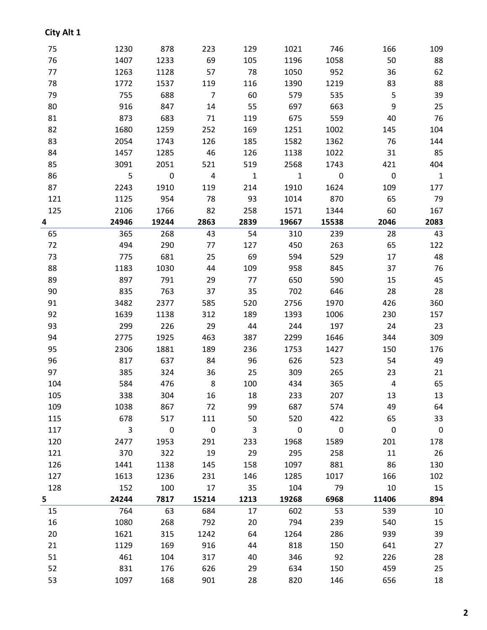| 75  | 1230           | 878                     | 223                     | 129                     | 1021                    | 746                      | 166            | 109                      |
|-----|----------------|-------------------------|-------------------------|-------------------------|-------------------------|--------------------------|----------------|--------------------------|
| 76  | 1407           | 1233                    | 69                      | 105                     | 1196                    | 1058                     | 50             | 88                       |
| 77  | 1263           | 1128                    | 57                      | 78                      | 1050                    | 952                      | 36             | 62                       |
| 78  | 1772           | 1537                    | 119                     | 116                     | 1390                    | 1219                     | 83             | 88                       |
| 79  | 755            | 688                     | $\overline{7}$          | 60                      | 579                     | 535                      | 5              | 39                       |
| 80  | 916            | 847                     | 14                      | 55                      | 697                     | 663                      | 9              | 25                       |
| 81  | 873            | 683                     | 71                      | 119                     | 675                     | 559                      | 40             | 76                       |
| 82  | 1680           | 1259                    | 252                     | 169                     | 1251                    | 1002                     | 145            | 104                      |
| 83  | 2054           | 1743                    | 126                     | 185                     | 1582                    | 1362                     | 76             | 144                      |
| 84  | 1457           | 1285                    | 46                      | 126                     | 1138                    | 1022                     | 31             | 85                       |
| 85  | 3091           | 2051                    | 521                     | 519                     | 2568                    | 1743                     | 421            | 404                      |
| 86  | 5              | $\mathbf 0$             | 4                       | $\mathbf{1}$            | $\mathbf{1}$            | $\overline{\phantom{0}}$ | $\pmb{0}$      | $\overline{1}$           |
| 87  | 2243           | 1910                    | 119                     | 214                     | 1910                    | 1624                     | 109            | 177                      |
| 121 | 1125           | 954                     | 78                      | 93                      | 1014                    | 870                      | 65             | 79                       |
| 125 | 2106           | 1766                    | 82                      | 258                     | 1571                    | 1344                     | 60             | 167                      |
| 4   | 24946          | 19244                   | 2863                    | 2839                    | 19667                   | 15538                    | 2046           | 2083                     |
| 65  | 365            | 268                     | 43                      | 54                      | 310                     | 239                      | 28             | 43                       |
| 72  | 494            | 290                     | 77                      | 127                     | 450                     | 263                      | 65             | 122                      |
| 73  | 775            | 681                     | 25                      | 69                      | 594                     | 529                      | 17             | 48                       |
| 88  | 1183           | 1030                    | 44                      | 109                     | 958                     | 845                      | 37             | 76                       |
| 89  | 897            | 791                     | 29                      | 77                      | 650                     | 590                      | 15             | 45                       |
| 90  | 835            | 763                     | 37                      | 35                      | 702                     | 646                      | 28             | 28                       |
| 91  | 3482           | 2377                    | 585                     | 520                     | 2756                    | 1970                     | 426            | 360                      |
| 92  | 1639           | 1138                    | 312                     | 189                     | 1393                    | 1006                     | 230            | 157                      |
| 93  | 299            | 226                     | 29                      | 44                      | 244                     | 197                      | 24             | 23                       |
| 94  | 2775           | 1925                    | 463                     | 387                     | 2299                    | 1646                     | 344            | 309                      |
| 95  | 2306           | 1881                    | 189                     | 236                     | 1753                    | 1427                     | 150            | 176                      |
| 96  | 817            | 637                     | 84                      | 96                      | 626                     | 523                      | 54             | 49                       |
| 97  | 385            | 324                     | 36                      | 25                      | 309                     | 265                      | 23             | 21                       |
| 104 | 584            | 476                     | 8                       | 100                     | 434                     | 365                      | $\overline{4}$ | 65                       |
| 105 | 338            | 304                     | 16                      | 18                      | 233                     | 207                      | 13             | 13                       |
| 109 | 1038           | 867                     | 72                      | 99                      | 687                     | 574                      | 49             | 64                       |
| 115 | 678            | 517                     | 111                     | 50                      | 520                     | 422                      | 65             | 33                       |
| 117 | $\overline{3}$ | $\overline{\mathbf{0}}$ | $\overline{\mathbf{0}}$ | $\overline{\mathbf{3}}$ | $\overline{\mathbf{0}}$ | $\overline{\phantom{0}}$ | $\mathbf 0$    | $\overline{\phantom{0}}$ |
| 120 | 2477           | 1953                    | 291                     | 233                     | 1968                    | 1589                     | 201            | 178                      |
| 121 | 370            | 322                     | 19                      | 29                      | 295                     | 258                      | 11             | 26                       |
| 126 | 1441           | 1138                    | 145                     | 158                     | 1097                    | 881                      | 86             | 130                      |
| 127 | 1613           | 1236                    | 231                     | 146                     | 1285                    | 1017                     | 166            | 102                      |
| 128 | 152            | 100                     | 17                      | 35                      | 104                     | 79                       | 10             | 15                       |
| 5   | 24244          | 7817                    | 15214                   | 1213                    | 19268                   | 6968                     | 11406          | 894                      |
| 15  | 764            | 63                      | 684                     | 17                      | 602                     | 53                       | 539            | 10                       |
| 16  | 1080           | 268                     | 792                     | 20                      | 794                     | 239                      | 540            | 15                       |
| 20  | 1621           | 315                     | 1242                    | 64                      | 1264                    | 286                      | 939            | 39                       |
| 21  | 1129           | 169                     | 916                     | 44                      | 818                     | 150                      | 641            | 27                       |
| 51  | 461            | 104                     | 317                     | 40                      | 346                     | 92                       | 226            | 28                       |
| 52  | 831            | 176                     | 626                     | 29                      | 634                     | 150                      | 459            | 25                       |
| 53  | 1097           | 168                     | 901                     | 28                      | 820                     | 146                      | 656            | 18                       |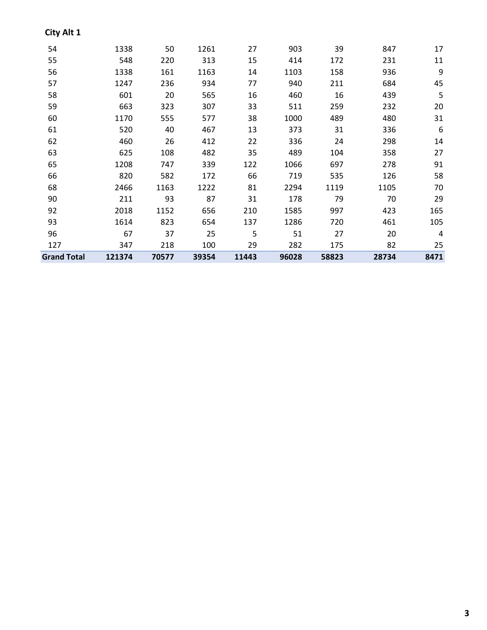| City Alt 1         |        |       |       |       |       |       |       |      |
|--------------------|--------|-------|-------|-------|-------|-------|-------|------|
| 54                 | 1338   | 50    | 1261  | 27    | 903   | 39    | 847   | 17   |
| 55                 | 548    | 220   | 313   | 15    | 414   | 172   | 231   | 11   |
| 56                 | 1338   | 161   | 1163  | 14    | 1103  | 158   | 936   | 9    |
| 57                 | 1247   | 236   | 934   | 77    | 940   | 211   | 684   | 45   |
| 58                 | 601    | 20    | 565   | 16    | 460   | 16    | 439   | 5    |
| 59                 | 663    | 323   | 307   | 33    | 511   | 259   | 232   | 20   |
| 60                 | 1170   | 555   | 577   | 38    | 1000  | 489   | 480   | 31   |
| 61                 | 520    | 40    | 467   | 13    | 373   | 31    | 336   | 6    |
| 62                 | 460    | 26    | 412   | 22    | 336   | 24    | 298   | 14   |
| 63                 | 625    | 108   | 482   | 35    | 489   | 104   | 358   | 27   |
| 65                 | 1208   | 747   | 339   | 122   | 1066  | 697   | 278   | 91   |
| 66                 | 820    | 582   | 172   | 66    | 719   | 535   | 126   | 58   |
| 68                 | 2466   | 1163  | 1222  | 81    | 2294  | 1119  | 1105  | 70   |
| 90                 | 211    | 93    | 87    | 31    | 178   | 79    | 70    | 29   |
| 92                 | 2018   | 1152  | 656   | 210   | 1585  | 997   | 423   | 165  |
| 93                 | 1614   | 823   | 654   | 137   | 1286  | 720   | 461   | 105  |
| 96                 | 67     | 37    | 25    | 5     | 51    | 27    | 20    | 4    |
| 127                | 347    | 218   | 100   | 29    | 282   | 175   | 82    | 25   |
| <b>Grand Total</b> | 121374 | 70577 | 39354 | 11443 | 96028 | 58823 | 28734 | 8471 |

###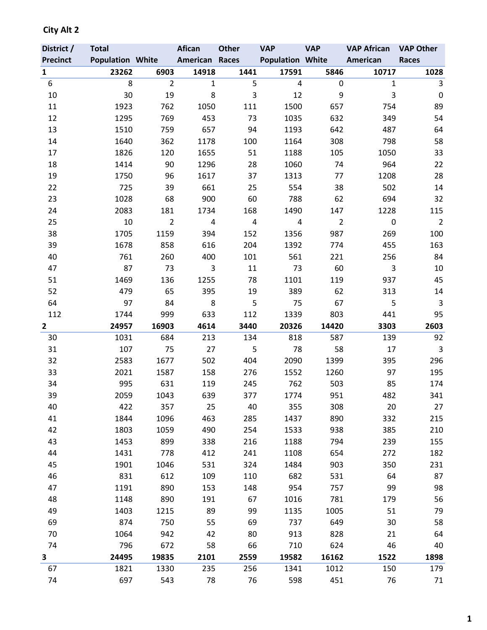| District /              | <b>Total</b>            |                | <b>Afican</b>  | <b>Other</b> | <b>VAP</b>              | <b>VAP</b>     | <b>VAP African</b> | <b>VAP Other</b> |
|-------------------------|-------------------------|----------------|----------------|--------------|-------------------------|----------------|--------------------|------------------|
| <b>Precinct</b>         | <b>Population White</b> |                | American Races |              | <b>Population White</b> |                | American           | <b>Races</b>     |
| $\mathbf{1}$            | 23262                   | 6903           | 14918          | 1441         | 17591                   | 5846           | 10717              | 1028             |
| 6                       | 8                       | $\overline{2}$ | $\mathbf{1}$   | 5            | 4                       | 0              | $\mathbf{1}$       | 3                |
| 10                      | 30                      | 19             | 8              | 3            | 12                      | 9              | 3                  | $\boldsymbol{0}$ |
| 11                      | 1923                    | 762            | 1050           | 111          | 1500                    | 657            | 754                | 89               |
| 12                      | 1295                    | 769            | 453            | 73           | 1035                    | 632            | 349                | 54               |
| 13                      | 1510                    | 759            | 657            | 94           | 1193                    | 642            | 487                | 64               |
| 14                      | 1640                    | 362            | 1178           | 100          | 1164                    | 308            | 798                | 58               |
| 17                      | 1826                    | 120            | 1655           | 51           | 1188                    | 105            | 1050               | 33               |
| 18                      | 1414                    | 90             | 1296           | 28           | 1060                    | 74             | 964                | 22               |
| 19                      | 1750                    | 96             | 1617           | 37           | 1313                    | 77             | 1208               | 28               |
| 22                      | 725                     | 39             | 661            | 25           | 554                     | 38             | 502                | 14               |
| 23                      | 1028                    | 68             | 900            | 60           | 788                     | 62             | 694                | 32               |
| 24                      | 2083                    | 181            | 1734           | 168          | 1490                    | 147            | 1228               | 115              |
| 25                      | 10                      | $\overline{2}$ | $\overline{a}$ | 4            | 4                       | $\overline{2}$ | $\mathbf 0$        | $\overline{2}$   |
| 38                      | 1705                    | 1159           | 394            | 152          | 1356                    | 987            | 269                | 100              |
| 39                      | 1678                    | 858            | 616            | 204          | 1392                    | 774            | 455                | 163              |
| 40                      | 761                     | 260            | 400            | 101          | 561                     | 221            | 256                | 84               |
| 47                      | 87                      | 73             | 3              | 11           | 73                      | 60             | 3                  | 10               |
| 51                      | 1469                    | 136            | 1255           | 78           | 1101                    | 119            | 937                | 45               |
| 52                      | 479                     | 65             | 395            | 19           | 389                     | 62             | 313                | 14               |
| 64                      | 97                      | 84             | 8              | 5            | 75                      | 67             | 5                  | $\mathsf{3}$     |
| 112                     | 1744                    | 999            | 633            | 112          | 1339                    | 803            | 441                | 95               |
| $\overline{\mathbf{2}}$ | 24957                   | 16903          | 4614           | 3440         | 20326                   | 14420          | 3303               | 2603             |
| 30                      | 1031                    | 684            | 213            | 134          | 818                     | 587            | 139                | 92               |
| 31                      | 107                     | 75             | 27             | 5            | 78                      | 58             | 17                 | $\mathsf{3}$     |
| 32                      | 2583                    | 1677           | 502            | 404          | 2090                    | 1399           | 395                | 296              |
| 33                      | 2021                    | 1587           | 158            | 276          | 1552                    | 1260           | 97                 | 195              |
| 34                      | 995                     | 631            | 119            | 245          | 762                     | 503            | 85                 | 174              |
| 39                      | 2059                    | 1043           | 639            | 377          | 1774                    | 951            | 482                | 341              |
| 40                      | 422                     | 357            | 25             | 40           | 355                     | 308            | 20                 | 27               |
| 41                      | 1844                    | 1096           | 463            | 285          | 1437                    | 890            | 332                | 215              |
| 42                      | 1803                    | 1059           | 490            | 254          | 1533                    | 938            | 385                | 210              |
| 43                      | 1453                    | 899            | 338            | 216          | 1188                    | 794            | 239                | 155              |
| 44                      | 1431                    | 778            | 412            | 241          | 1108                    | 654            | 272                | 182              |
| 45                      | 1901                    | 1046           | 531            | 324          | 1484                    | 903            | 350                | 231              |
| 46                      | 831                     | 612            | 109            | 110          | 682                     | 531            | 64                 | 87               |
| 47                      | 1191                    | 890            | 153            | 148          | 954                     | 757            | 99                 | 98               |
| 48                      | 1148                    | 890            | 191            | 67           | 1016                    | 781            | 179                | 56               |
| 49                      | 1403                    | 1215           | 89             | 99           | 1135                    | 1005           | 51                 | 79               |
| 69                      | 874                     | 750            | 55             | 69           | 737                     | 649            | 30                 | 58               |
| 70                      | 1064                    | 942            | 42             | 80           | 913                     | 828            | 21                 | 64               |
| 74                      | 796                     | 672            | 58             | 66           | 710                     | 624            | 46                 | 40               |
| 3                       | 24495                   | 19835          | 2101           | 2559         | 19582                   | 16162          | 1522               | 1898             |
| 67                      | 1821                    | 1330           | 235            | 256          | 1341                    | 1012           | 150                | 179              |
| 74                      | 697                     | 543            | 78             | 76           | 598                     | 451            | 76                 | 71               |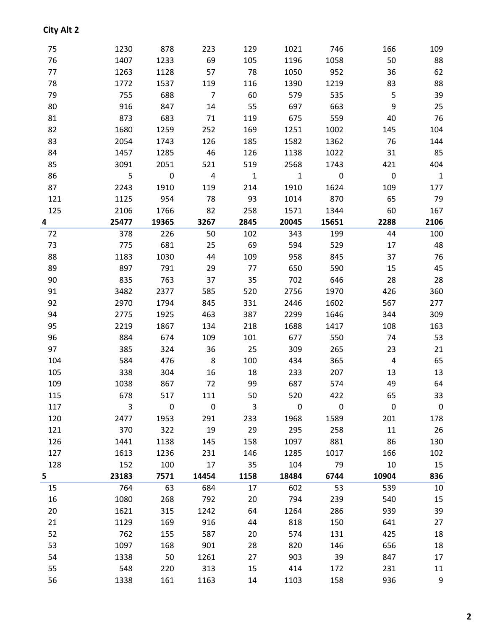| 75  | 1230  | 878              | 223            | 129          | 1021                     | 746         | 166            | 109            |
|-----|-------|------------------|----------------|--------------|--------------------------|-------------|----------------|----------------|
| 76  | 1407  | 1233             | 69             | 105          | 1196                     | 1058        | 50             | 88             |
| 77  | 1263  | 1128             | 57             | 78           | 1050                     | 952         | 36             | 62             |
| 78  | 1772  | 1537             | 119            | 116          | 1390                     | 1219        | 83             | 88             |
| 79  | 755   | 688              | $\overline{7}$ | 60           | 579                      | 535         | 5              | 39             |
| 80  | 916   | 847              | 14             | 55           | 697                      | 663         | 9              | 25             |
| 81  | 873   | 683              | 71             | 119          | 675                      | 559         | 40             | 76             |
| 82  | 1680  | 1259             | 252            | 169          | 1251                     | 1002        | 145            | 104            |
| 83  | 2054  | 1743             | 126            | 185          | 1582                     | 1362        | 76             | 144            |
| 84  | 1457  | 1285             | 46             | 126          | 1138                     | 1022        | 31             | 85             |
| 85  | 3091  | 2051             | 521            | 519          | 2568                     | 1743        | 421            | 404            |
| 86  | 5     | $\mathbf 0$      | $\overline{4}$ | $\mathbf{1}$ | $\overline{\phantom{a}}$ | $\mathbf 0$ | $\mathbf 0$    | $\overline{1}$ |
| 87  | 2243  | 1910             | 119            | 214          | 1910                     | 1624        | 109            | 177            |
| 121 | 1125  | 954              | 78             | 93           | 1014                     | 870         | 65             | 79             |
| 125 | 2106  | 1766             | 82             | 258          | 1571                     | 1344        | 60             | 167            |
| 4   | 25477 | 19365            | 3267           | 2845         | 20045                    | 15651       | 2288           | 2106           |
| 72  | 378   | 226              | 50             | 102          | 343                      | 199         | 44             | 100            |
| 73  | 775   | 681              | 25             | 69           | 594                      | 529         | 17             | 48             |
| 88  | 1183  | 1030             | 44             | 109          | 958                      | 845         | 37             | 76             |
| 89  | 897   | 791              | 29             | 77           | 650                      | 590         | 15             | 45             |
| 90  | 835   | 763              | 37             | 35           | 702                      | 646         | 28             | 28             |
| 91  | 3482  | 2377             | 585            | 520          | 2756                     | 1970        | 426            | 360            |
| 92  | 2970  | 1794             | 845            | 331          | 2446                     | 1602        | 567            | 277            |
| 94  | 2775  | 1925             | 463            | 387          | 2299                     | 1646        | 344            | 309            |
| 95  | 2219  | 1867             | 134            | 218          | 1688                     | 1417        | 108            | 163            |
| 96  | 884   | 674              | 109            | 101          | 677                      | 550         | 74             | 53             |
| 97  | 385   | 324              | 36             | 25           | 309                      | 265         | 23             | 21             |
| 104 | 584   | 476              | 8              | 100          | 434                      | 365         | $\overline{4}$ | 65             |
| 105 | 338   | 304              | 16             | 18           | 233                      | 207         | 13             | 13             |
| 109 | 1038  | 867              | 72             | 99           | 687                      | 574         | 49             | 64             |
| 115 | 678   | 517              | 111            | 50.          | 520                      | 422         | 65             | 33             |
| 117 | 3     | $\boldsymbol{0}$ | 0              | 3            | 0                        | 0           | 0              | $\mathbf 0$    |
| 120 | 2477  | 1953             | 291            | 233          | 1968                     | 1589        | 201            | 178            |
| 121 | 370   | 322              | 19             | 29           | 295                      | 258         | 11             | 26             |
| 126 | 1441  | 1138             | 145            | 158          | 1097                     | 881         | 86             | 130            |
| 127 | 1613  | 1236             | 231            | 146          | 1285                     | 1017        | 166            | 102            |
| 128 | 152   | 100              | 17             | 35           | 104                      | 79          | 10             | 15             |
| 5   | 23183 | 7571             | 14454          | 1158         | 18484                    | 6744        | 10904          | 836            |
| 15  | 764   | 63               | 684            | 17           | 602                      | 53          | 539            | 10             |
| 16  | 1080  | 268              | 792            | 20           | 794                      | 239         | 540            | 15             |
| 20  | 1621  | 315              | 1242           | 64           | 1264                     | 286         | 939            | 39             |
| 21  | 1129  | 169              | 916            | 44           | 818                      | 150         | 641            | 27             |
| 52  | 762   | 155              | 587            | 20           | 574                      | 131         | 425            | 18             |
| 53  | 1097  | 168              | 901            | 28           | 820                      | 146         | 656            | 18             |
| 54  | 1338  | 50               | 1261           | 27           | 903                      | 39          | 847            | 17             |
| 55  | 548   | 220              | 313            | 15           | 414                      | 172         | 231            | 11             |
| 56  | 1338  | 161              | 1163           | 14           | 1103                     | 158         | 936            | 9              |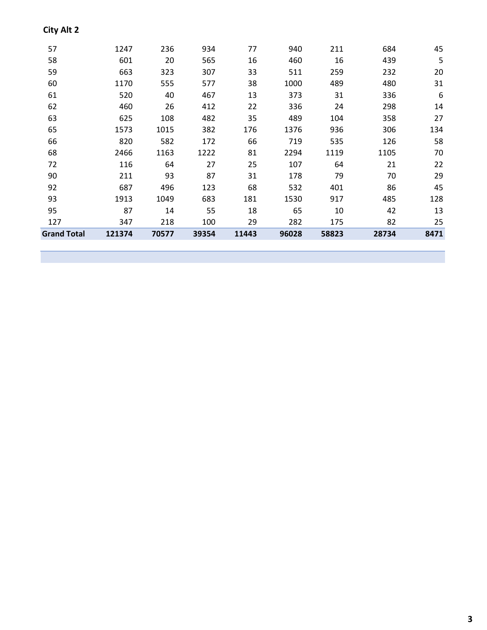| <b>Grand Total</b> | 121374 | 70577 | 39354 | 11443 | 96028 | 58823 | 28734 | 8471 |
|--------------------|--------|-------|-------|-------|-------|-------|-------|------|
| 127                | 347    | 218   | 100   | 29    | 282   | 175   | 82    | 25   |
| 95                 | 87     | 14    | 55    | 18    | 65    | 10    | 42    | 13   |
| 93                 | 1913   | 1049  | 683   | 181   | 1530  | 917   | 485   | 128  |
| 92                 | 687    | 496   | 123   | 68    | 532   | 401   | 86    | 45   |
| 90                 | 211    | 93    | 87    | 31    | 178   | 79    | 70    | 29   |
| 72                 | 116    | 64    | 27    | 25    | 107   | 64    | 21    | 22   |
| 68                 | 2466   | 1163  | 1222  | 81    | 2294  | 1119  | 1105  | 70   |
| 66                 | 820    | 582   | 172   | 66    | 719   | 535   | 126   | 58   |
| 65                 | 1573   | 1015  | 382   | 176   | 1376  | 936   | 306   | 134  |
| 63                 | 625    | 108   | 482   | 35    | 489   | 104   | 358   | 27   |
| 62                 | 460    | 26    | 412   | 22    | 336   | 24    | 298   | 14   |
| 61                 | 520    | 40    | 467   | 13    | 373   | 31    | 336   | 6    |
| 60                 | 1170   | 555   | 577   | 38    | 1000  | 489   | 480   | 31   |
| 59                 | 663    | 323   | 307   | 33    | 511   | 259   | 232   | 20   |
| 58                 | 601    | 20    | 565   | 16    | 460   | 16    | 439   | 5    |
| 57                 | 1247   | 236   | 934   | 77    | 940   | 211   | 684   | 45   |
|                    |        |       |       |       |       |       |       |      |

###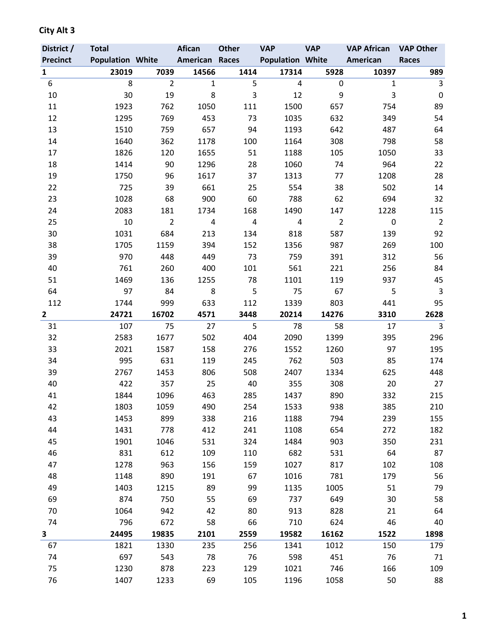| District /      | <b>Total</b>            |                | <b>Afican</b>  | <b>Other</b>   | <b>VAP</b>              | <b>VAP</b>     | <b>VAP African</b> | <b>VAP Other</b> |
|-----------------|-------------------------|----------------|----------------|----------------|-------------------------|----------------|--------------------|------------------|
| <b>Precinct</b> | <b>Population White</b> |                | American Races |                | <b>Population White</b> |                | American           | <b>Races</b>     |
| $\mathbf{1}$    | 23019                   | 7039           | 14566          | 1414           | 17314                   | 5928           | 10397              | 989              |
| 6               | 8                       | $\overline{2}$ | $\mathbf{1}$   | 5              | 4                       | 0              | $\mathbf{1}$       | 3                |
| 10              | 30                      | 19             | 8              | 3              | 12                      | 9              | 3                  | $\mathbf 0$      |
| 11              | 1923                    | 762            | 1050           | 111            | 1500                    | 657            | 754                | 89               |
| 12              | 1295                    | 769            | 453            | 73             | 1035                    | 632            | 349                | 54               |
| 13              | 1510                    | 759            | 657            | 94             | 1193                    | 642            | 487                | 64               |
| 14              | 1640                    | 362            | 1178           | 100            | 1164                    | 308            | 798                | 58               |
| 17              | 1826                    | 120            | 1655           | 51             | 1188                    | 105            | 1050               | 33               |
| 18              | 1414                    | 90             | 1296           | 28             | 1060                    | 74             | 964                | 22               |
| 19              | 1750                    | 96             | 1617           | 37             | 1313                    | 77             | 1208               | 28               |
| 22              | 725                     | 39             | 661            | 25             | 554                     | 38             | 502                | 14               |
| 23              | 1028                    | 68             | 900            | 60             | 788                     | 62             | 694                | 32               |
| 24              | 2083                    | 181            | 1734           | 168            | 1490                    | 147            | 1228               | 115              |
| 25              | 10                      | $\overline{2}$ | 4              | $\overline{4}$ | 4                       | $\overline{2}$ | $\mathbf 0$        | $\overline{2}$   |
| 30              | 1031                    | 684            | 213            | 134            | 818                     | 587            | 139                | 92               |
| 38              | 1705                    | 1159           | 394            | 152            | 1356                    | 987            | 269                | 100              |
| 39              | 970                     | 448            | 449            | 73             | 759                     | 391            | 312                | 56               |
| 40              | 761                     | 260            | 400            | 101            | 561                     | 221            | 256                | 84               |
| 51              | 1469                    | 136            | 1255           | 78             | 1101                    | 119            | 937                | 45               |
| 64              | 97                      | 84             | 8              | 5              | 75                      | 67             | 5                  | $\overline{3}$   |
| 112             | 1744                    | 999            | 633            | 112            | 1339                    | 803            | 441                | 95               |
| $\overline{2}$  | 24721                   | 16702          | 4571           | 3448           | 20214                   | 14276          | 3310               | 2628             |
| 31              | 107                     | 75             | 27             | 5              | 78                      | 58             | 17                 | 3                |
| 32              | 2583                    | 1677           | 502            | 404            | 2090                    | 1399           | 395                | 296              |
| 33              | 2021                    | 1587           | 158            | 276            | 1552                    | 1260           | 97                 | 195              |
| 34              | 995                     | 631            | 119            | 245            | 762                     | 503            | 85                 | 174              |
| 39              | 2767                    | 1453           | 806            | 508            | 2407                    | 1334           | 625                | 448              |
| 40              | 422                     | 357            | 25             | 40             | 355                     | 308            | 20                 | 27               |
| 41              | 1844                    | 1096           | 463            | 285            | 1437                    | 890            | 332                | 215              |
| 42              | 1803                    | 1059           | 490            | 254            | 1533                    | 938            | 385                | 210              |
| 43              | 1453                    | 899            | 338            | 216            | 1188                    | 794            | 239                | 155              |
| 44              | 1431                    | 778            | 412            | 241            | 1108                    | 654            | 272                | 182              |
| 45              | 1901                    | 1046           | 531            | 324            | 1484                    | 903            | 350                | 231              |
| 46              | 831                     | 612            | 109            | 110            | 682                     | 531            | 64                 | 87               |
| 47              | 1278                    | 963            | 156            | 159            | 1027                    | 817            | 102                | 108              |
| 48              | 1148                    | 890            | 191            | 67             | 1016                    | 781            | 179                | 56               |
| 49              | 1403                    | 1215           | 89             | 99             | 1135                    | 1005           | 51                 | 79               |
| 69              | 874                     | 750            | 55             | 69             | 737                     | 649            | 30                 | 58               |
| 70              | 1064                    | 942            | 42             | 80             | 913                     | 828            | 21                 | 64               |
| 74              | 796                     | 672            | 58             | 66             | 710                     | 624            | 46                 | 40               |
| 3               | 24495                   | 19835          | 2101           | 2559           | 19582                   | 16162          | 1522               | 1898             |
| 67              | 1821                    | 1330           | 235            | 256            | 1341                    | 1012           | 150                | 179              |
| 74              | 697                     | 543            | 78             | 76             | 598                     | 451            | 76                 | 71               |
| 75              | 1230                    | 878            | 223            | 129            | 1021                    | 746            | 166                | 109              |
| 76              | 1407                    | 1233           | 69             | 105            | 1196                    | 1058           | 50                 | 88               |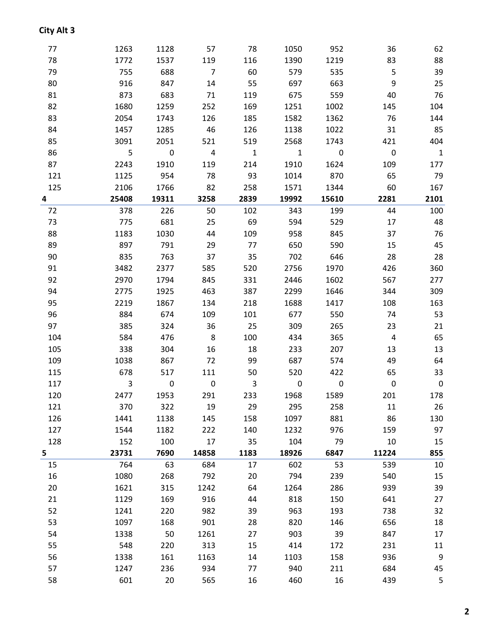1338 50 1261 27 903 39 847 17 548 220 313 15 414 172 231 11

1247 236 934 77 940 211 684 45

1338 161 1163 14 1103 158 936

601 20 565 16 460 16 439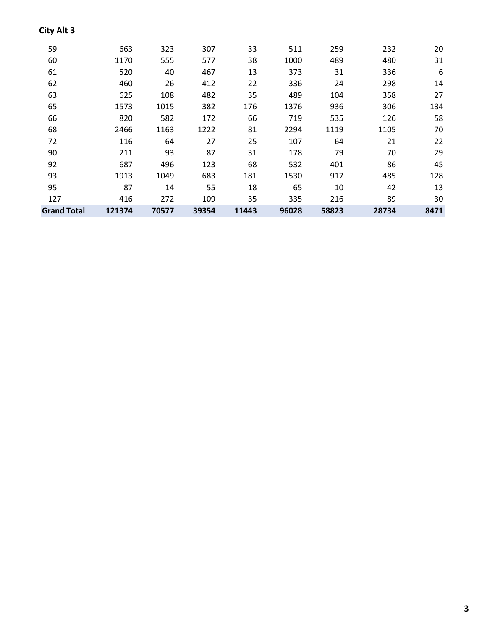| <b>Grand Total</b> | 121374 | 70577 | 39354 | 11443 | 96028 | 58823 | 28734 | 8471 |
|--------------------|--------|-------|-------|-------|-------|-------|-------|------|
| 127                | 416    | 272   | 109   | 35    | 335   | 216   | 89    | 30   |
| 95                 | 87     | 14    | 55    | 18    | 65    | 10    | 42    | 13   |
| 93                 | 1913   | 1049  | 683   | 181   | 1530  | 917   | 485   | 128  |
| 92                 | 687    | 496   | 123   | 68    | 532   | 401   | 86    | 45   |
| 90                 | 211    | 93    | 87    | 31    | 178   | 79    | 70    | 29   |
| 72                 | 116    | 64    | 27    | 25    | 107   | 64    | 21    | 22   |
| 68                 | 2466   | 1163  | 1222  | 81    | 2294  | 1119  | 1105  | 70   |
| 66                 | 820    | 582   | 172   | 66    | 719   | 535   | 126   | 58   |
| 65                 | 1573   | 1015  | 382   | 176   | 1376  | 936   | 306   | 134  |
| 63                 | 625    | 108   | 482   | 35    | 489   | 104   | 358   | 27   |
| 62                 | 460    | 26    | 412   | 22    | 336   | 24    | 298   | 14   |
| 61                 | 520    | 40    | 467   | 13    | 373   | 31    | 336   | 6    |
| 60                 | 1170   | 555   | 577   | 38    | 1000  | 489   | 480   | 31   |
| 59                 | 663    | 323   | 307   | 33    | 511   | 259   | 232   | 20   |
|                    |        |       |       |       |       |       |       |      |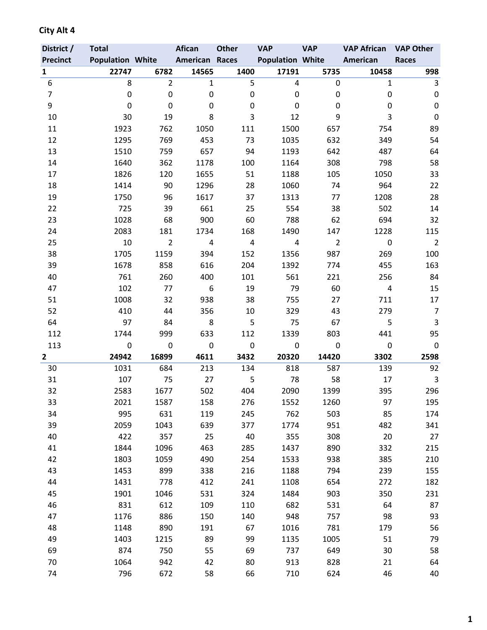| District /              | <b>Total</b>            |                | <b>Afican</b>         | <b>Other</b>   | <b>VAP</b>              | <b>VAP</b>     | <b>VAP African</b> | <b>VAP Other</b> |
|-------------------------|-------------------------|----------------|-----------------------|----------------|-------------------------|----------------|--------------------|------------------|
| <b>Precinct</b>         | <b>Population White</b> |                | <b>American Races</b> |                | <b>Population White</b> |                | American           | <b>Races</b>     |
| $\mathbf{1}$            | 22747                   | 6782           | 14565                 | 1400           | 17191                   | 5735           | 10458              | 998              |
| 6                       | 8                       | $\overline{2}$ | $\mathbf{1}$          | 5              | 4                       | 0              | $\mathbf{1}$       | 3                |
| $\overline{7}$          | 0                       | $\mathbf 0$    | 0                     | 0              | 0                       | 0              | 0                  | $\mathbf 0$      |
| 9                       | 0                       | 0              | 0                     | 0              | 0                       | 0              | 0                  | $\pmb{0}$        |
| 10                      | 30                      | 19             | 8                     | 3              | 12                      | 9              | 3                  | 0                |
| 11                      | 1923                    | 762            | 1050                  | 111            | 1500                    | 657            | 754                | 89               |
| 12                      | 1295                    | 769            | 453                   | 73             | 1035                    | 632            | 349                | 54               |
| 13                      | 1510                    | 759            | 657                   | 94             | 1193                    | 642            | 487                | 64               |
| 14                      | 1640                    | 362            | 1178                  | 100            | 1164                    | 308            | 798                | 58               |
| 17                      | 1826                    | 120            | 1655                  | 51             | 1188                    | 105            | 1050               | 33               |
| 18                      | 1414                    | 90             | 1296                  | 28             | 1060                    | 74             | 964                | 22               |
| 19                      | 1750                    | 96             | 1617                  | 37             | 1313                    | 77             | 1208               | 28               |
| 22                      | 725                     | 39             | 661                   | 25             | 554                     | 38             | 502                | 14               |
| 23                      | 1028                    | 68             | 900                   | 60             | 788                     | 62             | 694                | 32               |
| 24                      | 2083                    | 181            | 1734                  | 168            | 1490                    | 147            | 1228               | 115              |
| 25                      | 10                      | $\overline{2}$ | $\pmb{4}$             | $\overline{4}$ | $\pmb{4}$               | $\overline{2}$ | $\pmb{0}$          | $\overline{2}$   |
| 38                      | 1705                    | 1159           | 394                   | 152            | 1356                    | 987            | 269                | 100              |
| 39                      | 1678                    | 858            | 616                   | 204            | 1392                    | 774            | 455                | 163              |
| 40                      | 761                     | 260            | 400                   | 101            | 561                     | 221            | 256                | 84               |
| 47                      | 102                     | 77             | 6                     | 19             | 79                      | 60             | 4                  | 15               |
| 51                      | 1008                    | 32             | 938                   | 38             | 755                     | 27             | 711                | 17               |
| 52                      | 410                     | 44             | 356                   | 10             | 329                     | 43             | 279                | $\overline{7}$   |
| 64                      | 97                      | 84             | 8                     | 5              | 75                      | 67             | 5                  | 3                |
| 112                     | 1744                    | 999            | 633                   | 112            | 1339                    | 803            | 441                | 95               |
| 113                     | 0                       | $\mathbf 0$    | $\mathbf 0$           | $\mathbf 0$    | $\mathbf 0$             | 0              | $\mathbf 0$        | 0                |
| $\overline{\mathbf{c}}$ | 24942                   | 16899          | 4611                  | 3432           | 20320                   | 14420          | 3302               | 2598             |
| 30                      | 1031                    | 684            | 213                   | 134            | 818                     | 587            | 139                | 92               |
| 31                      | 107                     | 75             | 27                    | 5              | 78                      | 58             | 17                 | 3                |
| 32                      | 2583                    | 1677           | 502                   | 404            | 2090                    | 1399           | 395                | 296              |
| 33                      | 2021                    | 1587           | 158                   | 276            | 1552                    | 1260           | 97                 | 195              |
| 34                      | 995                     | 631            | 119                   | 245            | 762                     | 503            | 85                 | 174              |
| 39                      | 2059                    | 1043           | 639                   | 377            | 1774                    | 951            | 482                | 341              |
| 40                      | 422                     | 357            | 25                    | 40             | 355                     | 308            | 20                 | 27               |
| 41                      | 1844                    | 1096           | 463                   | 285            | 1437                    | 890            | 332                | 215              |
| 42                      | 1803                    | 1059           | 490                   | 254            | 1533                    | 938            | 385                | 210              |
| 43                      | 1453                    | 899            | 338                   | 216            | 1188                    | 794            | 239                | 155              |
| 44                      | 1431                    | 778            | 412                   | 241            | 1108                    | 654            | 272                | 182              |
| 45                      | 1901                    | 1046           | 531                   | 324            | 1484                    | 903            | 350                | 231              |
| 46                      | 831                     | 612            | 109                   | 110            | 682                     | 531            | 64                 | 87               |
| 47<br>48                | 1176<br>1148            | 886            | 150                   | 140            | 948                     | 757            | 98                 | 93               |
| 49                      | 1403                    | 890<br>1215    | 191<br>89             | 67<br>99       | 1016<br>1135            | 781<br>1005    | 179<br>51          | 56<br>79         |
|                         | 874                     | 750            | 55                    | 69             | 737                     | 649            | 30                 |                  |
| 69<br>70                | 1064                    | 942            | 42                    | 80             | 913                     | 828            | 21                 | 58<br>64         |
| 74                      | 796                     | 672            | 58                    | 66             | 710                     | 624            | 46                 | 40               |
|                         |                         |                |                       |                |                         |                |                    |                  |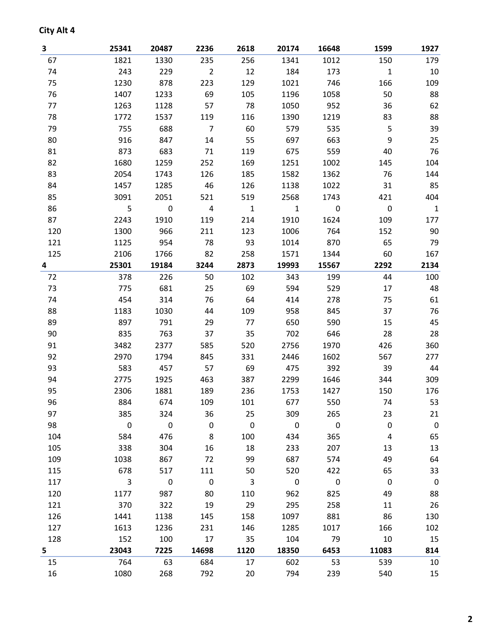| 3   | 25341        | 20487       | 2236           | 2618                    | 20174        | 16648       | 1599         | 1927             |
|-----|--------------|-------------|----------------|-------------------------|--------------|-------------|--------------|------------------|
| 67  | 1821         | 1330        | 235            | 256                     | 1341         | 1012        | 150          | 179              |
| 74  | 243          | 229         | $\overline{2}$ | 12                      | 184          | 173         | $\mathbf{1}$ | 10               |
| 75  | 1230         | 878         | 223            | 129                     | 1021         | 746         | 166          | 109              |
| 76  | 1407         | 1233        | 69             | 105                     | 1196         | 1058        | 50           | 88               |
| 77  | 1263         | 1128        | 57             | 78                      | 1050         | 952         | 36           | 62               |
| 78  | 1772         | 1537        | 119            | 116                     | 1390         | 1219        | 83           | 88               |
| 79  | 755          | 688         | $\overline{7}$ | 60                      | 579          | 535         | 5            | 39               |
| 80  | 916          | 847         | 14             | 55                      | 697          | 663         | 9            | 25               |
| 81  | 873          | 683         | 71             | 119                     | 675          | 559         | 40           | 76               |
| 82  | 1680         | 1259        | 252            | 169                     | 1251         | 1002        | 145          | 104              |
| 83  | 2054         | 1743        | 126            | 185                     | 1582         | 1362        | 76           | 144              |
| 84  | 1457         | 1285        | 46             | 126                     | 1138         | 1022        | 31           | 85               |
| 85  | 3091         | 2051        | 521            | 519                     | 2568         | 1743        | 421          | 404              |
| 86  | 5            | 0           | $\overline{4}$ | $\mathbf{1}$            | $\mathbf{1}$ | $\pmb{0}$   | $\mathbf 0$  | $\mathbf{1}$     |
| 87  | 2243         | 1910        | 119            | 214                     | 1910         | 1624        | 109          | 177              |
| 120 | 1300         | 966         | 211            | 123                     | 1006         | 764         | 152          | 90               |
| 121 | 1125         | 954         | 78             | 93                      | 1014         | 870         | 65           | 79               |
| 125 | 2106         | 1766        | 82             | 258                     | 1571         | 1344        | 60           | 167              |
| 4   | 25301        | 19184       | 3244           | 2873                    | 19993        | 15567       | 2292         | 2134             |
| 72  | 378          | 226         | 50             | 102                     | 343          | 199         | 44           | 100              |
| 73  | 775          | 681         | 25             | 69                      | 594          | 529         | 17           | 48               |
| 74  | 454          | 314         | 76             | 64                      | 414          | 278         | 75           | 61               |
| 88  | 1183         | 1030        | 44             | 109                     | 958          | 845         | 37           | 76               |
| 89  | 897          | 791         | 29             | 77                      | 650          | 590         | 15           | 45               |
| 90  | 835          | 763         | 37             | 35                      | 702          | 646         | 28           | 28               |
| 91  | 3482         | 2377        | 585            | 520                     | 2756         | 1970        | 426          | 360              |
| 92  | 2970         | 1794        | 845            | 331                     | 2446         | 1602        | 567          | 277              |
| 93  | 583          | 457         | 57             | 69                      | 475          | 392         | 39           | 44               |
| 94  | 2775         | 1925        | 463            | 387                     | 2299         | 1646        | 344          | 309              |
| 95  | 2306         | 1881        | 189            | 236                     | 1753         | 1427        | 150          | 176              |
| 96  | 884          | 674         | 109            | 101                     | 677          | 550         | 74           | 53               |
| 97  | 385          | 324         | 36             | 25                      | 309          | 265         | 23           | 21               |
| 98  | $\pmb{0}$    | $\mathsf 0$ | $\pmb{0}$      | $\overline{\mathbf{0}}$ | $\mathsf 0$  | $\mathbf 0$ | $\pmb{0}$    | $\pmb{0}$        |
| 104 | 584          | 476         | 8              | 100                     | 434          | 365         | 4            | 65               |
| 105 | 338          | 304         | 16             | 18                      | 233          | 207         | 13           | 13               |
| 109 | 1038         | 867         | 72             | 99                      | 687          | 574         | 49           | 64               |
| 115 | 678          | 517         | 111            | 50                      | 520          | 422         | 65           | 33               |
| 117 | $\mathbf{3}$ | $\pmb{0}$   | $\pmb{0}$      | 3                       | $\pmb{0}$    | $\mathbf 0$ | $\mathbf 0$  | $\boldsymbol{0}$ |
| 120 | 1177         | 987         | 80             | 110                     | 962          | 825         | 49           | 88               |
| 121 | 370          | 322         | 19             | 29                      | 295          | 258         | 11           | 26               |
| 126 | 1441         | 1138        | 145            | 158                     | 1097         | 881         | 86           | 130              |
| 127 | 1613         | 1236        | 231            | 146                     | 1285         | 1017        | 166          | 102              |
| 128 | 152          | 100         | 17             | 35                      | 104          | 79          | 10           | 15               |
| 5   | 23043        | 7225        | 14698          | 1120                    | 18350        | 6453        | 11083        | 814              |
| 15  | 764          | 63          | 684            | 17                      | 602          | 53          | 539          | 10               |
| 16  | 1080         | 268         | 792            | 20                      | 794          | 239         | 540          | 15               |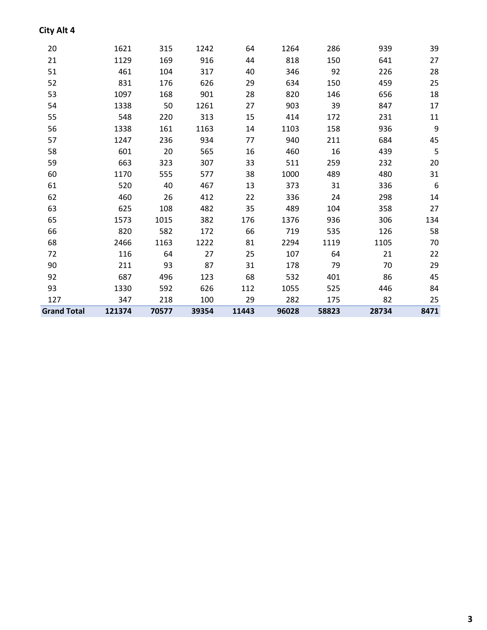| , . |      |      |      |     |      |     |     |     |
|-----|------|------|------|-----|------|-----|-----|-----|
| 20  | 1621 | 315  | 1242 | 64  | 1264 | 286 | 939 | 39  |
| 21  | 1129 | 169  | 916  | 44  | 818  | 150 | 641 | 27  |
| 51  | 461  | 104  | 317  | 40  | 346  | 92  | 226 | 28  |
| 52  | 831  | 176  | 626  | 29  | 634  | 150 | 459 | 25  |
| 53  | 1097 | 168  | 901  | 28  | 820  | 146 | 656 | 18  |
| 54  | 1338 | 50   | 1261 | 27  | 903  | 39  | 847 | 17  |
| 55  | 548  | 220  | 313  | 15  | 414  | 172 | 231 | 11  |
| 56  | 1338 | 161  | 1163 | 14  | 1103 | 158 | 936 | 9   |
| 57  | 1247 | 236  | 934  | 77  | 940  | 211 | 684 | 45  |
| 58  | 601  | 20   | 565  | 16  | 460  | 16  | 439 | 5   |
| 59  | 663  | 323  | 307  | 33  | 511  | 259 | 232 | 20  |
| 60  | 1170 | 555  | 577  | 38  | 1000 | 489 | 480 | 31  |
| 61  | 520  | 40   | 467  | 13  | 373  | 31  | 336 | 6   |
| 62  | 460  | 26   | 412  | 22  | 336  | 24  | 298 | 14  |
| 63  | 625  | 108  | 482  | 35  | 489  | 104 | 358 | 27  |
| 65  | 1573 | 1015 | 382  | 176 | 1376 | 936 | 306 | 134 |

66 820 582 172 66 719 535 126 58 68 2466 1163 1222 81 2294 1119 1105 70 72 116 64 27 25 107 64 21 22 90 211 93 87 31 178 79 70 29 92 687 496 123 68 532 401 86 45 93 1330 592 626 112 1055 525 446 84 127 347 218 100 29 282 175 82 25 **Grand Total 121374 70577 39354 11443 96028 58823 28734 8471**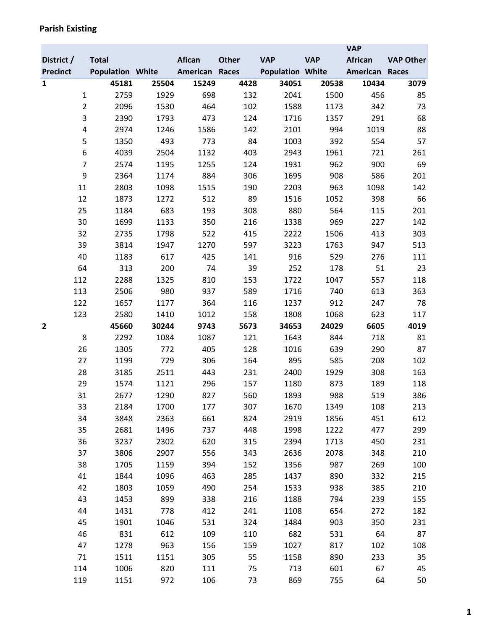|                 |                         |            |            |              |                         |            | <b>VAP</b> |                  |
|-----------------|-------------------------|------------|------------|--------------|-------------------------|------------|------------|------------------|
| District /      | <b>Total</b>            |            | Afican     | <b>Other</b> | <b>VAP</b>              | <b>VAP</b> | African    | <b>VAP Other</b> |
| <b>Precinct</b> | <b>Population White</b> |            | American   | Races        | <b>Population White</b> |            | American   | Races            |
| $\mathbf{1}$    | 45181                   | 25504      | 15249      | 4428         | 34051                   | 20538      | 10434      | 3079             |
| $\mathbf 1$     | 2759                    | 1929       | 698        | 132          | 2041                    | 1500       | 456        | 85               |
| $\overline{2}$  | 2096                    | 1530       | 464        | 102          | 1588                    | 1173       | 342        | 73               |
| 3               | 2390                    | 1793       | 473        | 124          | 1716                    | 1357       | 291        | 68               |
| 4               | 2974                    | 1246       | 1586       | 142          | 2101                    | 994        | 1019       | 88               |
| 5               | 1350                    | 493        | 773        | 84           | 1003                    | 392        | 554        | 57               |
| 6               | 4039                    | 2504       | 1132       | 403          | 2943                    | 1961       | 721        | 261              |
| $\overline{7}$  | 2574                    | 1195       | 1255       | 124          | 1931                    | 962        | 900        | 69               |
| 9               | 2364                    | 1174       | 884        | 306          | 1695                    | 908        | 586        | 201              |
| 11              | 2803                    | 1098       | 1515       | 190          | 2203                    | 963        | 1098       | 142              |
| 12              | 1873                    | 1272       | 512        | 89           | 1516                    | 1052       | 398        | 66               |
| 25              | 1184                    | 683        | 193        | 308          | 880                     | 564        | 115        | 201              |
| 30              | 1699                    | 1133       | 350        | 216          | 1338                    | 969        | 227        | 142              |
| 32              | 2735                    | 1798       | 522        | 415          | 2222                    | 1506       | 413        | 303              |
| 39              | 3814                    | 1947       | 1270       | 597          | 3223                    | 1763       | 947        | 513              |
| 40              | 1183                    | 617        | 425        | 141          | 916                     | 529        | 276        | 111              |
| 64              | 313                     | 200        | 74         | 39           | 252                     | 178        | 51         | 23               |
| 112             | 2288                    | 1325       | 810        | 153          | 1722                    | 1047       | 557        | 118              |
| 113             | 2506                    | 980        | 937        | 589          | 1716                    | 740        | 613        | 363              |
| 122             | 1657                    | 1177       | 364        | 116          | 1237                    | 912        | 247        | 78               |
| 123             | 2580                    | 1410       | 1012       | 158          | 1808                    | 1068       | 623        | 117              |
| $\overline{2}$  | 45660                   | 30244      | 9743       | 5673         | 34653                   | 24029      | 6605       | 4019             |
| 8               | 2292                    | 1084       | 1087       | 121          | 1643                    | 844        | 718        | 81               |
| 26<br>27        | 1305<br>1199            | 772<br>729 | 405<br>306 | 128<br>164   | 1016<br>895             | 639<br>585 | 290<br>208 | 87<br>102        |
| 28              | 3185                    | 2511       | 443        | 231          | 2400                    | 1929       | 308        | 163              |
| 29              | 1574                    | 1121       | 296        | 157          | 1180                    | 873        | 189        | 118              |
| 31              | 2677                    | 1290       | 827        | 560          | 1893                    | 988        | 519        | 386              |
| 33              | 2184                    | 1700       | 177        | 307          | 1670                    | 1349       | 108        | 213              |
| 34              | 3848                    | 2363       | 661        | 824          | 2919                    | 1856       | 451        | 612              |
| 35              | 2681                    | 1496       | 737        | 448          | 1998                    | 1222       | 477        | 299              |
| 36              | 3237                    | 2302       | 620        | 315          | 2394                    | 1713       | 450        | 231              |
| 37              | 3806                    | 2907       | 556        | 343          | 2636                    | 2078       | 348        | 210              |
| 38              | 1705                    | 1159       | 394        | 152          | 1356                    | 987        | 269        | 100              |
| 41              | 1844                    | 1096       | 463        | 285          | 1437                    | 890        | 332        | 215              |
| 42              | 1803                    | 1059       | 490        | 254          | 1533                    | 938        | 385        | 210              |
| 43              | 1453                    | 899        | 338        | 216          | 1188                    | 794        | 239        | 155              |
| 44              | 1431                    | 778        | 412        | 241          | 1108                    | 654        | 272        | 182              |
| 45              | 1901                    | 1046       | 531        | 324          | 1484                    | 903        | 350        | 231              |
| 46              | 831                     | 612        | 109        | 110          | 682                     | 531        | 64         | 87               |
| 47              | 1278                    | 963        | 156        | 159          | 1027                    | 817        | 102        | 108              |
| 71              | 1511                    | 1151       | 305        | 55           | 1158                    | 890        | 233        | 35               |
| 114             | 1006                    | 820        | 111        | 75           | 713                     | 601        | 67         | 45               |
| 119             | 1151                    | 972        | 106        | 73           | 869                     | 755        | 64         | 50               |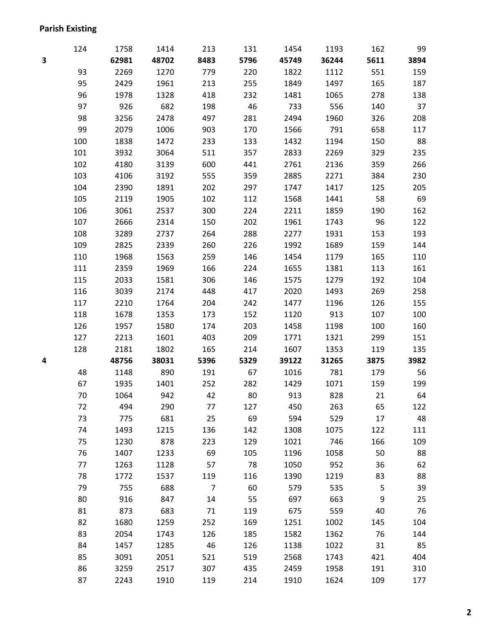### **Parish Existing**

|   | 124 | 1758  | 1414  | 213            | 131  | 1454  | 1193  | 162  | 99   |
|---|-----|-------|-------|----------------|------|-------|-------|------|------|
| 3 |     | 62981 | 48702 | 8483           | 5796 | 45749 | 36244 | 5611 | 3894 |
|   | 93  | 2269  | 1270  | 779            | 220  | 1822  | 1112  | 551  | 159  |
|   | 95  | 2429  | 1961  | 213            | 255  | 1849  | 1497  | 165  | 187  |
|   | 96  | 1978  | 1328  | 418            | 232  | 1481  | 1065  | 278  | 138  |
|   | 97  | 926   | 682   | 198            | 46   | 733   | 556   | 140  | 37   |
|   | 98  | 3256  | 2478  | 497            | 281  | 2494  | 1960  | 326  | 208  |
|   | 99  | 2079  | 1006  | 903            | 170  | 1566  | 791   | 658  | 117  |
|   | 100 | 1838  | 1472  | 233            | 133  | 1432  | 1194  | 150  | 88   |
|   | 101 | 3932  | 3064  | 511            | 357  | 2833  | 2269  | 329  | 235  |
|   | 102 | 4180  | 3139  | 600            | 441  | 2761  | 2136  | 359  | 266  |
|   | 103 | 4106  | 3192  | 555            | 359  | 2885  | 2271  | 384  | 230  |
|   | 104 | 2390  | 1891  | 202            | 297  | 1747  | 1417  | 125  | 205  |
|   | 105 | 2119  | 1905  | 102            | 112  | 1568  | 1441  | 58   | 69   |
|   | 106 | 3061  | 2537  | 300            | 224  | 2211  | 1859  | 190  | 162  |
|   | 107 | 2666  | 2314  | 150            | 202  | 1961  | 1743  | 96   | 122  |
|   | 108 | 3289  | 2737  | 264            | 288  | 2277  | 1931  | 153  | 193  |
|   | 109 | 2825  | 2339  | 260            | 226  | 1992  | 1689  | 159  | 144  |
|   | 110 | 1968  | 1563  | 259            | 146  | 1454  | 1179  | 165  | 110  |
|   | 111 | 2359  | 1969  | 166            | 224  | 1655  | 1381  | 113  | 161  |
|   | 115 | 2033  | 1581  | 306            | 146  | 1575  | 1279  | 192  | 104  |
|   | 116 | 3039  | 2174  | 448            | 417  | 2020  | 1493  | 269  | 258  |
|   | 117 | 2210  | 1764  | 204            | 242  | 1477  | 1196  | 126  | 155  |
|   | 118 | 1678  | 1353  | 173            | 152  | 1120  | 913   | 107  | 100  |
|   | 126 | 1957  | 1580  | 174            | 203  | 1458  | 1198  | 100  | 160  |
|   | 127 | 2213  | 1601  | 403            | 209  | 1771  | 1321  | 299  | 151  |
|   | 128 | 2181  | 1802  | 165            | 214  | 1607  | 1353  | 119  | 135  |
| 4 |     | 48756 | 38031 | 5396           | 5329 | 39122 | 31265 | 3875 | 3982 |
|   | 48  | 1148  | 890   | 191            | 67   | 1016  | 781   | 179  | 56   |
|   | 67  | 1935  | 1401  | 252            | 282  | 1429  | 1071  | 159  | 199  |
|   | 70  | 1064  | 942   | 42             | 80   | 913   | 828   | 21   | 64   |
|   | 72  | 494   | 290   | 77             | 127  | 450   | 263   | 65   | 122  |
|   | 73  | 775   | 681   | 25             | 69   | 594   | 529   | 17   | 48   |
|   | 74  | 1493  | 1215  | 136            | 142  | 1308  | 1075  | 122  | 111  |
|   | 75  | 1230  | 878   | 223            | 129  | 1021  | 746   | 166  | 109  |
|   | 76  | 1407  | 1233  | 69             | 105  | 1196  | 1058  | 50   | 88   |
|   | 77  | 1263  | 1128  | 57             | 78   | 1050  | 952   | 36   | 62   |
|   | 78  | 1772  | 1537  | 119            | 116  | 1390  | 1219  | 83   | 88   |
|   | 79  | 755   | 688   | $\overline{7}$ | 60   | 579   | 535   | 5    | 39   |
|   | 80  | 916   | 847   | 14             | 55   | 697   | 663   | 9    | 25   |
|   | 81  | 873   | 683   | 71             | 119  | 675   | 559   | 40   | 76   |
|   | 82  | 1680  | 1259  | 252            | 169  | 1251  | 1002  | 145  | 104  |
|   | 83  | 2054  | 1743  | 126            | 185  | 1582  | 1362  | 76   | 144  |
|   | 84  | 1457  | 1285  | 46             | 126  | 1138  | 1022  | 31   | 85   |
|   | 85  | 3091  | 2051  | 521            | 519  | 2568  | 1743  | 421  | 404  |
|   | 86  | 3259  | 2517  | 307            | 435  | 2459  | 1958  | 191  | 310  |
|   | 87  | 2243  | 1910  | 119            | 214  | 1910  | 1624  | 109  | 177  |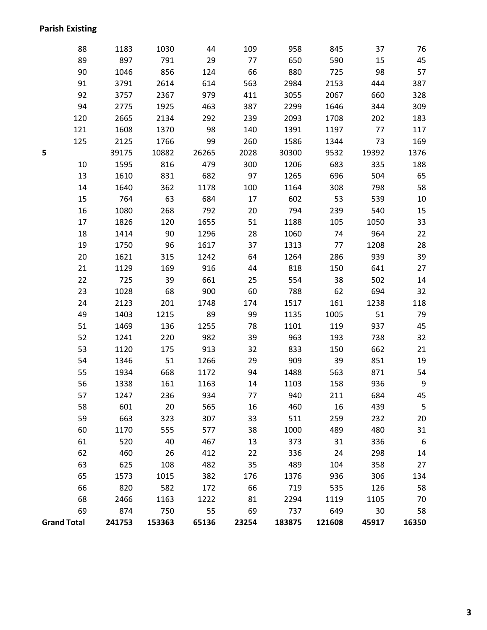### **Parish Existing**

| ł<br>۰.<br>v | M. |  |
|--------------|----|--|

|                    | 88  | 1183   | 1030   | 44    | 109   | 958    | 845    | 37    | 76             |
|--------------------|-----|--------|--------|-------|-------|--------|--------|-------|----------------|
|                    | 89  | 897    | 791    | 29    | 77    | 650    | 590    | 15    | 45             |
|                    | 90  | 1046   | 856    | 124   | 66    | 880    | 725    | 98    | 57             |
|                    | 91  | 3791   | 2614   | 614   | 563   | 2984   | 2153   | 444   | 387            |
|                    | 92  | 3757   | 2367   | 979   | 411   | 3055   | 2067   | 660   | 328            |
|                    | 94  | 2775   | 1925   | 463   | 387   | 2299   | 1646   | 344   | 309            |
|                    | 120 | 2665   | 2134   | 292   | 239   | 2093   | 1708   | 202   | 183            |
|                    | 121 | 1608   | 1370   | 98    | 140   | 1391   | 1197   | 77    | 117            |
|                    | 125 | 2125   | 1766   | 99    | 260   | 1586   | 1344   | 73    | 169            |
| 5                  |     | 39175  | 10882  | 26265 | 2028  | 30300  | 9532   | 19392 | 1376           |
|                    | 10  | 1595   | 816    | 479   | 300   | 1206   | 683    | 335   | 188            |
|                    | 13  | 1610   | 831    | 682   | 97    | 1265   | 696    | 504   | 65             |
|                    | 14  | 1640   | 362    | 1178  | 100   | 1164   | 308    | 798   | 58             |
|                    | 15  | 764    | 63     | 684   | 17    | 602    | 53     | 539   | 10             |
|                    | 16  | 1080   | 268    | 792   | 20    | 794    | 239    | 540   | 15             |
|                    | 17  | 1826   | 120    | 1655  | 51    | 1188   | 105    | 1050  | 33             |
|                    | 18  | 1414   | 90     | 1296  | 28    | 1060   | 74     | 964   | 22             |
|                    | 19  | 1750   | 96     | 1617  | 37    | 1313   | 77     | 1208  | 28             |
|                    | 20  | 1621   | 315    | 1242  | 64    | 1264   | 286    | 939   | 39             |
|                    | 21  | 1129   | 169    | 916   | 44    | 818    | 150    | 641   | 27             |
|                    | 22  | 725    | 39     | 661   | 25    | 554    | 38     | 502   | 14             |
|                    | 23  | 1028   | 68     | 900   | 60    | 788    | 62     | 694   | 32             |
|                    | 24  | 2123   | 201    | 1748  | 174   | 1517   | 161    | 1238  | 118            |
|                    | 49  | 1403   | 1215   | 89    | 99    | 1135   | 1005   | 51    | 79             |
|                    | 51  | 1469   | 136    | 1255  | 78    | 1101   | 119    | 937   | 45             |
|                    | 52  | 1241   | 220    | 982   | 39    | 963    | 193    | 738   | 32             |
|                    | 53  | 1120   | 175    | 913   | 32    | 833    | 150    | 662   | 21             |
|                    | 54  | 1346   | 51     | 1266  | 29    | 909    | 39     | 851   | 19             |
|                    | 55  | 1934   | 668    | 1172  | 94    | 1488   | 563    | 871   | 54             |
|                    | 56  | 1338   | 161    | 1163  | 14    | 1103   | 158    | 936   | $\overline{9}$ |
|                    | 57  | 1247   | 236    | 934   | 77    | 940    | 211    | 684   | 45             |
|                    | 58  | 601    | 20     | 565   | 16    | 460    | 16     | 439   | 5              |
|                    | 59  | 663    | 323    | 307   | 33    | 511    | 259    | 232   | 20             |
|                    | 60  | 1170   | 555    | 577   | 38    | 1000   | 489    | 480   | 31             |
|                    | 61  | 520    | 40     | 467   | 13    | 373    | 31     | 336   | 6              |
|                    | 62  | 460    | 26     | 412   | 22    | 336    | 24     | 298   | 14             |
|                    | 63  | 625    | 108    | 482   | 35    | 489    | 104    | 358   | 27             |
|                    | 65  | 1573   | 1015   | 382   | 176   | 1376   | 936    | 306   | 134            |
|                    | 66  | 820    | 582    | 172   | 66    | 719    | 535    | 126   | 58             |
|                    | 68  | 2466   | 1163   | 1222  | 81    | 2294   | 1119   | 1105  | 70             |
|                    | 69  | 874    | 750    | 55    | 69    | 737    | 649    | 30    | 58             |
| <b>Grand Total</b> |     | 241753 | 153363 | 65136 | 23254 | 183875 | 121608 | 45917 | 16350          |
|                    |     |        |        |       |       |        |        |       |                |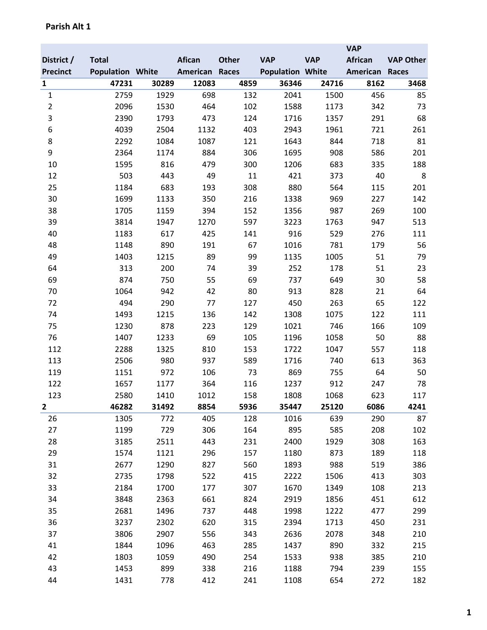|                 |                         |       |               |              |                         |            | <b>VAP</b>     |                  |
|-----------------|-------------------------|-------|---------------|--------------|-------------------------|------------|----------------|------------------|
| District /      | <b>Total</b>            |       | <b>Afican</b> | <b>Other</b> | <b>VAP</b>              | <b>VAP</b> | <b>African</b> | <b>VAP Other</b> |
| <b>Precinct</b> | <b>Population White</b> |       | American      | Races        | <b>Population White</b> |            | American       | <b>Races</b>     |
| $\mathbf{1}$    | 47231                   | 30289 | 12083         | 4859         | 36346                   | 24716      | 8162           | 3468             |
| $\mathbf{1}$    | 2759                    | 1929  | 698           | 132          | 2041                    | 1500       | 456            | 85               |
| $\overline{2}$  | 2096                    | 1530  | 464           | 102          | 1588                    | 1173       | 342            | 73               |
| 3               | 2390                    | 1793  | 473           | 124          | 1716                    | 1357       | 291            | 68               |
| 6               | 4039                    | 2504  | 1132          | 403          | 2943                    | 1961       | 721            | 261              |
| 8               | 2292                    | 1084  | 1087          | 121          | 1643                    | 844        | 718            | 81               |
| 9               | 2364                    | 1174  | 884           | 306          | 1695                    | 908        | 586            | 201              |
| 10              | 1595                    | 816   | 479           | 300          | 1206                    | 683        | 335            | 188              |
| 12              | 503                     | 443   | 49            | 11           | 421                     | 373        | 40             | 8                |
| 25              | 1184                    | 683   | 193           | 308          | 880                     | 564        | 115            | 201              |
| 30              | 1699                    | 1133  | 350           | 216          | 1338                    | 969        | 227            | 142              |
| 38              | 1705                    | 1159  | 394           | 152          | 1356                    | 987        | 269            | 100              |
| 39              | 3814                    | 1947  | 1270          | 597          | 3223                    | 1763       | 947            | 513              |
| 40              | 1183                    | 617   | 425           | 141          | 916                     | 529        | 276            | 111              |
| 48              | 1148                    | 890   | 191           | 67           | 1016                    | 781        | 179            | 56               |
| 49              | 1403                    | 1215  | 89            | 99           | 1135                    | 1005       | 51             | 79               |
| 64              | 313                     | 200   | 74            | 39           | 252                     | 178        | 51             | 23               |
| 69              | 874                     | 750   | 55            | 69           | 737                     | 649        | 30             | 58               |
| 70              | 1064                    | 942   | 42            | 80           | 913                     | 828        | 21             | 64               |
| 72              | 494                     | 290   | 77            | 127          | 450                     | 263        | 65             | 122              |
| 74              | 1493                    | 1215  | 136           | 142          | 1308                    | 1075       | 122            | 111              |
| 75              | 1230                    | 878   | 223           | 129          | 1021                    | 746        | 166            | 109              |
| 76              | 1407                    | 1233  | 69            | 105          | 1196                    | 1058       | 50             | 88               |
| 112             | 2288                    | 1325  | 810           | 153          | 1722                    | 1047       | 557            | 118              |
| 113             | 2506                    | 980   | 937           | 589          | 1716                    | 740        | 613            | 363              |
| 119             | 1151                    | 972   | 106           | 73           | 869                     | 755        | 64             | 50               |
| 122             | 1657                    | 1177  | 364           | 116          | 1237                    | 912        | 247            | 78               |
| 123             | 2580                    | 1410  | 1012          | 158          | 1808                    | 1068       | 623            | 117              |
| $\overline{2}$  | 46282                   | 31492 | 8854          | 5936         | 35447                   | 25120      | 6086           | 4241             |
| 26              | 1305                    | 772   | 405           | 128          | 1016                    | 639        | 290            | 87               |
| 27              | 1199                    | 729   | 306           | 164          | 895                     | 585        | 208            | 102              |
| 28              | 3185                    | 2511  | 443           | 231          | 2400                    | 1929       | 308            | 163              |
| 29              | 1574                    | 1121  | 296           | 157          | 1180                    | 873        | 189            | 118              |
| 31              | 2677                    | 1290  | 827           | 560          | 1893                    | 988        | 519            | 386              |
| 32              | 2735                    | 1798  | 522           | 415          | 2222                    | 1506       | 413            | 303              |
| 33              | 2184                    | 1700  | 177           | 307          | 1670                    | 1349       | 108            | 213              |
| 34              | 3848                    | 2363  | 661           | 824          | 2919                    | 1856       | 451            | 612              |
| 35              | 2681                    | 1496  | 737           | 448          | 1998                    | 1222       | 477            | 299              |
| 36              | 3237                    | 2302  | 620           | 315          | 2394                    | 1713       | 450            | 231              |
| 37              | 3806                    | 2907  | 556           | 343          | 2636                    | 2078       | 348            | 210              |
| 41              | 1844                    | 1096  | 463           | 285          | 1437                    | 890        | 332            | 215              |
| 42              | 1803                    | 1059  | 490           | 254          | 1533                    | 938        | 385            | 210              |
| 43              | 1453                    | 899   | 338           | 216          | 1188                    | 794        | 239            | 155              |
| 44              | 1431                    | 778   | 412           | 241          | 1108                    | 654        | 272            | 182              |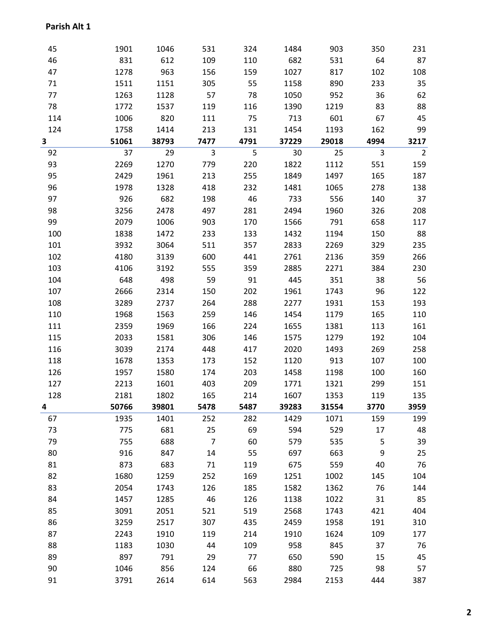| 45  | 1901  | 1046  | 531            | 324  | 1484  | 903   | 350  | 231            |
|-----|-------|-------|----------------|------|-------|-------|------|----------------|
| 46  | 831   | 612   | 109            | 110  | 682   | 531   | 64   | 87             |
| 47  | 1278  | 963   | 156            | 159  | 1027  | 817   | 102  | 108            |
| 71  | 1511  | 1151  | 305            | 55   | 1158  | 890   | 233  | 35             |
| 77  | 1263  | 1128  | 57             | 78   | 1050  | 952   | 36   | 62             |
| 78  | 1772  | 1537  | 119            | 116  | 1390  | 1219  | 83   | 88             |
| 114 | 1006  | 820   | 111            | 75   | 713   | 601   | 67   | 45             |
| 124 | 1758  | 1414  | 213            | 131  | 1454  | 1193  | 162  | 99             |
| 3   | 51061 | 38793 | 7477           | 4791 | 37229 | 29018 | 4994 | 3217           |
| 92  | 37    | 29    | 3              | 5    | 30    | 25    | 3    | $\overline{2}$ |
| 93  | 2269  | 1270  | 779            | 220  | 1822  | 1112  | 551  | 159            |
| 95  | 2429  | 1961  | 213            | 255  | 1849  | 1497  | 165  | 187            |
| 96  | 1978  | 1328  | 418            | 232  | 1481  | 1065  | 278  | 138            |
| 97  | 926   | 682   | 198            | 46   | 733   | 556   | 140  | 37             |
| 98  | 3256  | 2478  | 497            | 281  | 2494  | 1960  | 326  | 208            |
| 99  | 2079  | 1006  | 903            | 170  | 1566  | 791   | 658  | 117            |
| 100 | 1838  | 1472  | 233            | 133  | 1432  | 1194  | 150  | 88             |
| 101 | 3932  | 3064  | 511            | 357  | 2833  | 2269  | 329  | 235            |
| 102 | 4180  | 3139  | 600            | 441  | 2761  | 2136  | 359  | 266            |
| 103 | 4106  | 3192  | 555            | 359  | 2885  | 2271  | 384  | 230            |
| 104 | 648   | 498   | 59             | 91   | 445   | 351   | 38   | 56             |
| 107 | 2666  | 2314  | 150            | 202  | 1961  | 1743  | 96   | 122            |
| 108 | 3289  | 2737  | 264            | 288  | 2277  | 1931  | 153  | 193            |
| 110 | 1968  | 1563  | 259            | 146  | 1454  | 1179  | 165  | 110            |
| 111 | 2359  | 1969  | 166            | 224  | 1655  | 1381  | 113  | 161            |
| 115 | 2033  | 1581  | 306            | 146  | 1575  | 1279  | 192  | 104            |
| 116 | 3039  | 2174  | 448            | 417  | 2020  | 1493  | 269  | 258            |
| 118 | 1678  | 1353  | 173            | 152  | 1120  | 913   | 107  | 100            |
| 126 | 1957  | 1580  | 174            | 203  | 1458  | 1198  | 100  | 160            |
| 127 | 2213  | 1601  | 403            | 209  | 1771  | 1321  | 299  | 151            |
| 128 | 2181  | 1802  | 165            | 214  | 1607  | 1353  | 119  | 135            |
| 4   | 50766 | 39801 | 5478           | 5487 | 39283 | 31554 | 3770 | 3959           |
| 67  | 1935  | 1401  | 252            | 282  | 1429  | 1071  | 159  | 199            |
| 73  | 775   | 681   | 25             | 69   | 594   | 529   | 17   | 48             |
| 79  | 755   | 688   | $\overline{7}$ | 60   | 579   | 535   | 5    | 39             |
| 80  | 916   | 847   | 14             | 55   | 697   | 663   | 9    | 25             |
| 81  | 873   | 683   | 71             | 119  | 675   | 559   | 40   | 76             |
| 82  | 1680  | 1259  | 252            | 169  | 1251  | 1002  | 145  | 104            |
| 83  | 2054  | 1743  | 126            | 185  | 1582  | 1362  | 76   | 144            |
| 84  | 1457  | 1285  | 46             | 126  | 1138  | 1022  | 31   | 85             |
| 85  | 3091  | 2051  | 521            | 519  | 2568  | 1743  | 421  | 404            |
| 86  | 3259  | 2517  | 307            | 435  | 2459  | 1958  | 191  | 310            |
| 87  | 2243  | 1910  | 119            | 214  | 1910  | 1624  | 109  | 177            |
| 88  | 1183  | 1030  | 44             | 109  | 958   | 845   | 37   | 76             |
| 89  | 897   | 791   | 29             | 77   | 650   | 590   | 15   | 45             |
| 90  | 1046  | 856   | 124            | 66   | 880   | 725   | 98   | 57             |
| 91  | 3791  | 2614  | 614            | 563  | 2984  | 2153  | 444  | 387            |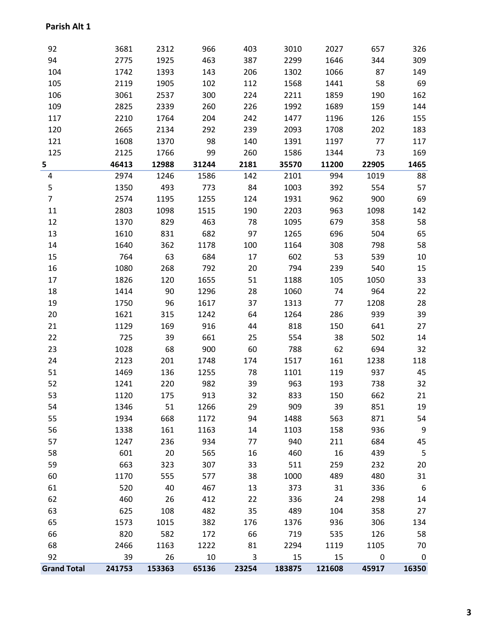### 3681 2312 966 403 3010 2027 657 326 2775 1925 463 387 2299 1646 344 309 1742 1393 143 206 1302 1066 87 149 2119 1905 102 112 1568 1441 58 69 3061 2537 300 224 2211 1859 190 162 2825 2339 260 226 1992 1689 159 144 2210 1764 204 242 1477 1196 126 155 2665 2134 292 239 2093 1708 202 183 1608 1370 98 140 1391 1197 77 117 2125 1766 99 260 1586 1344 73 169 **46413 12988 31244 2181 35570 11200 22905 1465** 2974 1246 1586 142 2101 994 1019 88 1350 493 773 84 1003 392 554 57 2574 1195 1255 124 1931 962 900 69 2803 1098 1515 190 2203 963 1098 142 1370 829 463 78 1095 679 358 58 1610 831 682 97 1265 696 504 65 1640 362 1178 100 1164 308 798 58 764 63 684 17 602 53 539 10 1080 268 792 20 794 239 540 15 1826 120 1655 51 1188 105 1050 33 1414 90 1296 28 1060 74 964 22 1750 96 1617 37 1313 77 1208 28 1621 315 1242 64 1264 286 939 39 1129 169 916 44 818 150 641 27 725 39 661 25 554 38 502 14 1028 68 900 60 788 62 694 32 2123 201 1748 174 1517 161 1238 118 1469 136 1255 78 1101 119 937 45 1241 220 982 39 963 193 738 32 1120 175 913 32 833 150 662 21 1346 51 1266 29 909 39 851 19 1934 668 1172 94 1488 563 871 54 1338 161 1163 14 1103 158 936 9 1247 236 934 77 940 211 684 45 601 20 565 16 460 16 439 5 663 323 307 33 511 259 232 20 1170 555 577 38 1000 489 480 31 520 40 467 13 373 31 336 6 460 26 412 22 336 24 298 14 625 108 482 35 489 104 358 27 1573 1015 382 176 1376 936 306 134 820 582 172 66 719 535 126 58 2466 1163 1222 81 2294 1119 1105 70 39 26 10 3 15 15 0 0 **Grand Total 241753 153363 65136 23254 183875 121608 45917 16350**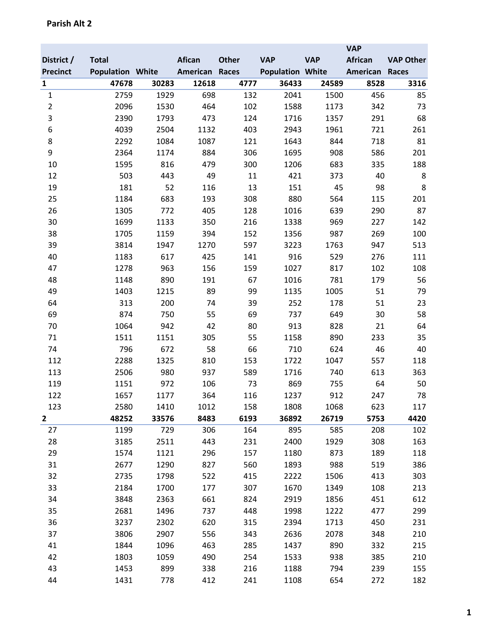|                 |                         |       |               |              |                         |            | <b>VAP</b> |                  |
|-----------------|-------------------------|-------|---------------|--------------|-------------------------|------------|------------|------------------|
| District /      | <b>Total</b>            |       | <b>Afican</b> | <b>Other</b> | <b>VAP</b>              | <b>VAP</b> | African    | <b>VAP Other</b> |
| <b>Precinct</b> | <b>Population White</b> |       | American      | Races        | <b>Population White</b> |            | American   | <b>Races</b>     |
| $\mathbf{1}$    | 47678                   | 30283 | 12618         | 4777         | 36433                   | 24589      | 8528       | 3316             |
| $\mathbf 1$     | 2759                    | 1929  | 698           | 132          | 2041                    | 1500       | 456        | 85               |
| $\overline{2}$  | 2096                    | 1530  | 464           | 102          | 1588                    | 1173       | 342        | 73               |
| 3               | 2390                    | 1793  | 473           | 124          | 1716                    | 1357       | 291        | 68               |
| 6               | 4039                    | 2504  | 1132          | 403          | 2943                    | 1961       | 721        | 261              |
| 8               | 2292                    | 1084  | 1087          | 121          | 1643                    | 844        | 718        | 81               |
| 9               | 2364                    | 1174  | 884           | 306          | 1695                    | 908        | 586        | 201              |
| 10              | 1595                    | 816   | 479           | 300          | 1206                    | 683        | 335        | 188              |
| 12              | 503                     | 443   | 49            | 11           | 421                     | 373        | 40         | 8                |
| 19              | 181                     | 52    | 116           | 13           | 151                     | 45         | 98         | 8                |
| 25              | 1184                    | 683   | 193           | 308          | 880                     | 564        | 115        | 201              |
| 26              | 1305                    | 772   | 405           | 128          | 1016                    | 639        | 290        | 87               |
| 30              | 1699                    | 1133  | 350           | 216          | 1338                    | 969        | 227        | 142              |
| 38              | 1705                    | 1159  | 394           | 152          | 1356                    | 987        | 269        | 100              |
| 39              | 3814                    | 1947  | 1270          | 597          | 3223                    | 1763       | 947        | 513              |
| 40              | 1183                    | 617   | 425           | 141          | 916                     | 529        | 276        | 111              |
| 47              | 1278                    | 963   | 156           | 159          | 1027                    | 817        | 102        | 108              |
| 48              | 1148                    | 890   | 191           | 67           | 1016                    | 781        | 179        | 56               |
| 49              | 1403                    | 1215  | 89            | 99           | 1135                    | 1005       | 51         | 79               |
| 64              | 313                     | 200   | 74            | 39           | 252                     | 178        | 51         | 23               |
| 69              | 874                     | 750   | 55            | 69           | 737                     | 649        | 30         | 58               |
| 70              | 1064                    | 942   | 42            | 80           | 913                     | 828        | 21         | 64               |
| 71              | 1511                    | 1151  | 305           | 55           | 1158                    | 890        | 233        | 35               |
| 74              | 796                     | 672   | 58            | 66           | 710                     | 624        | 46         | 40               |
| 112             | 2288                    | 1325  | 810           | 153          | 1722                    | 1047       | 557        | 118              |
| 113             | 2506                    | 980   | 937           | 589          | 1716                    | 740        | 613        | 363              |
| 119             | 1151                    | 972   | 106           | 73           | 869                     | 755        | 64         | 50               |
| 122             | 1657                    | 1177  | 364           | 116          | 1237                    | 912        | 247        | 78               |
| 123             | 2580                    | 1410  | 1012          | 158          | 1808                    | 1068       | 623        | 117              |
| 2               | 48252                   | 33576 | 8483          | 6193         | 36892                   | 26719      | 5753       | 4420             |
| 27              | 1199                    | 729   | 306           | 164          | 895                     | 585        | 208        | 102              |
| 28              | 3185                    | 2511  | 443           | 231          | 2400                    | 1929       | 308        | 163              |
| 29              | 1574                    | 1121  | 296           | 157          | 1180                    | 873        | 189        | 118              |
| 31              | 2677                    | 1290  | 827           | 560          | 1893                    | 988        | 519        | 386              |
| 32              | 2735                    | 1798  | 522           | 415          | 2222                    | 1506       | 413        | 303              |
| 33              | 2184                    | 1700  | 177           | 307          | 1670                    | 1349       | 108        | 213              |
| 34              | 3848                    | 2363  | 661           | 824          | 2919                    | 1856       | 451        | 612              |
| 35              | 2681                    | 1496  | 737           | 448          | 1998                    | 1222       | 477        | 299              |
| 36              | 3237                    | 2302  | 620           | 315          | 2394                    | 1713       | 450        | 231              |
| 37              | 3806                    | 2907  | 556           | 343          | 2636                    | 2078       | 348        | 210              |
| 41              | 1844                    | 1096  | 463           | 285          | 1437                    | 890        | 332        | 215              |
| 42              | 1803                    | 1059  | 490           | 254          | 1533                    | 938        | 385        | 210              |
| 43              | 1453                    | 899   | 338           | 216          | 1188                    | 794        | 239        | 155              |
| 44              | 1431                    | 778   | 412           | 241          | 1108                    | 654        | 272        | 182              |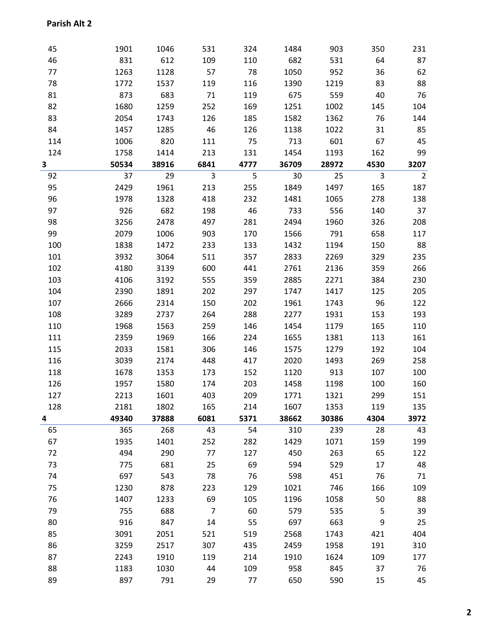| 45  | 1901  | 1046  | 531            | 324  | 1484  | 903   | 350  | 231            |
|-----|-------|-------|----------------|------|-------|-------|------|----------------|
| 46  | 831   | 612   | 109            | 110  | 682   | 531   | 64   | 87             |
| 77  | 1263  | 1128  | 57             | 78   | 1050  | 952   | 36   | 62             |
| 78  | 1772  | 1537  | 119            | 116  | 1390  | 1219  | 83   | 88             |
| 81  | 873   | 683   | 71             | 119  | 675   | 559   | 40   | 76             |
| 82  | 1680  | 1259  | 252            | 169  | 1251  | 1002  | 145  | 104            |
| 83  | 2054  | 1743  | 126            | 185  | 1582  | 1362  | 76   | 144            |
| 84  | 1457  | 1285  | 46             | 126  | 1138  | 1022  | 31   | 85             |
| 114 | 1006  | 820   | 111            | 75   | 713   | 601   | 67   | 45             |
| 124 | 1758  | 1414  | 213            | 131  | 1454  | 1193  | 162  | 99             |
| 3   | 50534 | 38916 | 6841           | 4777 | 36709 | 28972 | 4530 | 3207           |
| 92  | 37    | 29    | $\overline{3}$ | 5    | 30    | 25    | 3    | $\overline{2}$ |
| 95  | 2429  | 1961  | 213            | 255  | 1849  | 1497  | 165  | 187            |
| 96  | 1978  | 1328  | 418            | 232  | 1481  | 1065  | 278  | 138            |
| 97  | 926   | 682   | 198            | 46   | 733   | 556   | 140  | 37             |
| 98  | 3256  | 2478  | 497            | 281  | 2494  | 1960  | 326  | 208            |
| 99  | 2079  | 1006  | 903            | 170  | 1566  | 791   | 658  | 117            |
| 100 | 1838  | 1472  | 233            | 133  | 1432  | 1194  | 150  | 88             |
| 101 | 3932  | 3064  | 511            | 357  | 2833  | 2269  | 329  | 235            |
| 102 | 4180  | 3139  | 600            | 441  | 2761  | 2136  | 359  | 266            |
| 103 | 4106  | 3192  | 555            | 359  | 2885  | 2271  | 384  | 230            |
| 104 | 2390  | 1891  | 202            | 297  | 1747  | 1417  | 125  | 205            |
| 107 | 2666  | 2314  | 150            | 202  | 1961  | 1743  | 96   | 122            |
| 108 | 3289  | 2737  | 264            | 288  | 2277  | 1931  | 153  | 193            |
| 110 | 1968  | 1563  | 259            | 146  | 1454  | 1179  | 165  | 110            |
| 111 | 2359  | 1969  | 166            | 224  | 1655  | 1381  | 113  | 161            |
| 115 | 2033  | 1581  | 306            | 146  | 1575  | 1279  | 192  | 104            |
| 116 | 3039  | 2174  | 448            | 417  | 2020  | 1493  | 269  | 258            |
| 118 | 1678  | 1353  | 173            | 152  | 1120  | 913   | 107  | 100            |
| 126 | 1957  | 1580  | 174            | 203  | 1458  | 1198  | 100  | 160            |
| 127 | 2213  | 1601  | 403            | 209  | 1771  | 1321  | 299  | 151            |
| 128 | 2181  | 1802  | 165            | 214  | 1607  | 1353  | 119  | 135            |
| 4   | 49340 | 37888 | 6081           | 5371 | 38662 | 30386 | 4304 | 3972           |
| 65  | 365   | 268   | 43             | 54   | 310   | 239   | 28   | 43             |
| 67  | 1935  | 1401  | 252            | 282  | 1429  | 1071  | 159  | 199            |
| 72  | 494   | 290   | 77             | 127  | 450   | 263   | 65   | 122            |
| 73  | 775   | 681   | 25             | 69   | 594   | 529   | 17   | 48             |
| 74  | 697   | 543   | 78             | 76   | 598   | 451   | 76   | 71             |
| 75  | 1230  | 878   | 223            | 129  | 1021  | 746   | 166  | 109            |
| 76  | 1407  | 1233  | 69             | 105  | 1196  | 1058  | 50   | 88             |
| 79  | 755   | 688   | $\overline{7}$ | 60   | 579   | 535   | 5    | 39             |
| 80  | 916   | 847   | 14             | 55   | 697   | 663   | 9    | 25             |
| 85  | 3091  | 2051  | 521            | 519  | 2568  | 1743  | 421  | 404            |
| 86  | 3259  | 2517  | 307            | 435  | 2459  | 1958  | 191  | 310            |
| 87  | 2243  | 1910  | 119            | 214  | 1910  | 1624  | 109  | 177            |
| 88  | 1183  | 1030  | 44             | 109  | 958   | 845   | 37   | 76             |
| 89  | 897   | 791   | 29             | 77   | 650   | 590   | 15   | 45             |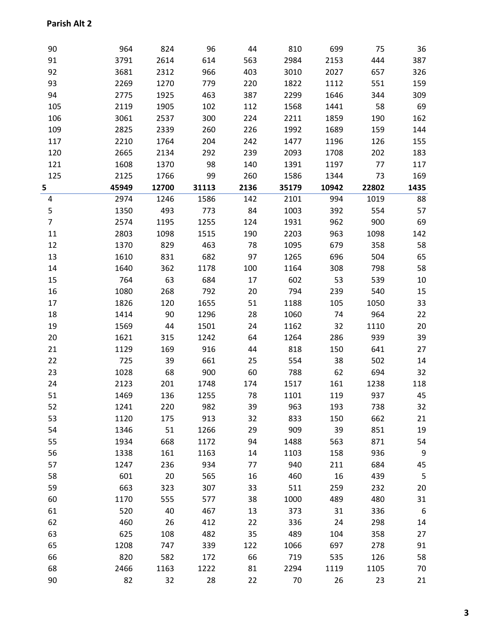| 90             | 964   | 824   | 96    | 44   | 810   | 699   | 75    | 36   |
|----------------|-------|-------|-------|------|-------|-------|-------|------|
| 91             | 3791  | 2614  | 614   | 563  | 2984  | 2153  | 444   | 387  |
| 92             | 3681  | 2312  | 966   | 403  | 3010  | 2027  | 657   | 326  |
| 93             | 2269  | 1270  | 779   | 220  | 1822  | 1112  | 551   | 159  |
| 94             | 2775  | 1925  | 463   | 387  | 2299  | 1646  | 344   | 309  |
| 105            | 2119  | 1905  | 102   | 112  | 1568  | 1441  | 58    | 69   |
| 106            | 3061  | 2537  | 300   | 224  | 2211  | 1859  | 190   | 162  |
| 109            | 2825  | 2339  | 260   | 226  | 1992  | 1689  | 159   | 144  |
| 117            | 2210  | 1764  | 204   | 242  | 1477  | 1196  | 126   | 155  |
| 120            | 2665  | 2134  | 292   | 239  | 2093  | 1708  | 202   | 183  |
| 121            | 1608  | 1370  | 98    | 140  | 1391  | 1197  | 77    | 117  |
| 125            | 2125  | 1766  | 99    | 260  | 1586  | 1344  | 73    | 169  |
| 5              | 45949 | 12700 | 31113 | 2136 | 35179 | 10942 | 22802 | 1435 |
| 4              | 2974  | 1246  | 1586  | 142  | 2101  | 994   | 1019  | 88   |
| 5              | 1350  | 493   | 773   | 84   | 1003  | 392   | 554   | 57   |
| $\overline{7}$ | 2574  | 1195  | 1255  | 124  | 1931  | 962   | 900   | 69   |
| 11             | 2803  | 1098  | 1515  | 190  | 2203  | 963   | 1098  | 142  |
| 12             | 1370  | 829   | 463   | 78   | 1095  | 679   | 358   | 58   |
| 13             | 1610  | 831   | 682   | 97   | 1265  | 696   | 504   | 65   |
| 14             | 1640  | 362   | 1178  | 100  | 1164  | 308   | 798   | 58   |
| 15             | 764   | 63    | 684   | 17   | 602   | 53    | 539   | 10   |
| 16             | 1080  | 268   | 792   | 20   | 794   | 239   | 540   | 15   |
| 17             | 1826  | 120   | 1655  | 51   | 1188  | 105   | 1050  | 33   |
| 18             | 1414  | 90    | 1296  | 28   | 1060  | 74    | 964   | 22   |
| 19             | 1569  | 44    | 1501  | 24   | 1162  | 32    | 1110  | 20   |
| 20             | 1621  | 315   | 1242  | 64   | 1264  | 286   | 939   | 39   |
| 21             | 1129  | 169   | 916   | 44   | 818   | 150   | 641   | 27   |
| 22             | 725   | 39    | 661   | 25   | 554   | 38    | 502   | 14   |
| 23             | 1028  | 68    | 900   | 60   | 788   | 62    | 694   | 32   |
| 24             | 2123  | 201   | 1748  | 174  | 1517  | 161   | 1238  | 118  |
| 51             | 1469  | 136   | 1255  | 78   | 1101  | 119   | 937   | 45   |
| 52             | 1241  | 220   | 982   | 39   | 963   | 193   | 738   | 32   |
| 53             | 1120  | 175   | 913   | 32   | 833   | 150   | 662   | 21   |
| 54             | 1346  | 51    | 1266  | 29   | 909   | 39    | 851   | 19   |
| 55             | 1934  | 668   | 1172  | 94   | 1488  | 563   | 871   | 54   |
| 56             | 1338  | 161   | 1163  | 14   | 1103  | 158   | 936   | 9    |
| 57             | 1247  | 236   | 934   | 77   | 940   | 211   | 684   | 45   |
| 58             | 601   | 20    | 565   | 16   | 460   | 16    | 439   | 5    |
| 59             | 663   | 323   | 307   | 33   | 511   | 259   | 232   | 20   |
| 60             | 1170  | 555   | 577   | 38   | 1000  | 489   | 480   | 31   |
| 61             | 520   | 40    | 467   | 13   | 373   | 31    | 336   | 6    |
| 62             | 460   | 26    | 412   | 22   | 336   | 24    | 298   | 14   |
| 63             | 625   | 108   | 482   | 35   | 489   | 104   | 358   | 27   |
| 65             | 1208  | 747   | 339   | 122  | 1066  | 697   | 278   | 91   |
| 66             | 820   | 582   | 172   | 66   | 719   | 535   | 126   | 58   |
| 68             | 2466  | 1163  | 1222  | 81   | 2294  | 1119  | 1105  | 70   |
| 90             | 82    | 32    | 28    | 22   | 70    | 26    | 23    | 21   |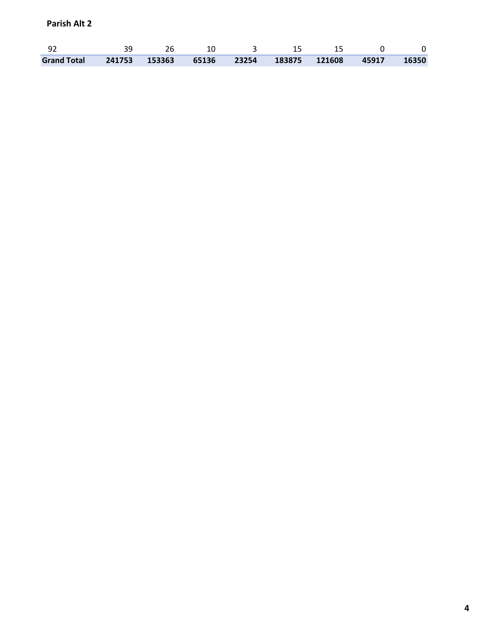| -92 |  | 그 사람들은 아이들을 하고 있다. | . 15. | 15 |       |
|-----|--|--------------------|-------|----|-------|
|     |  |                    |       |    | 16350 |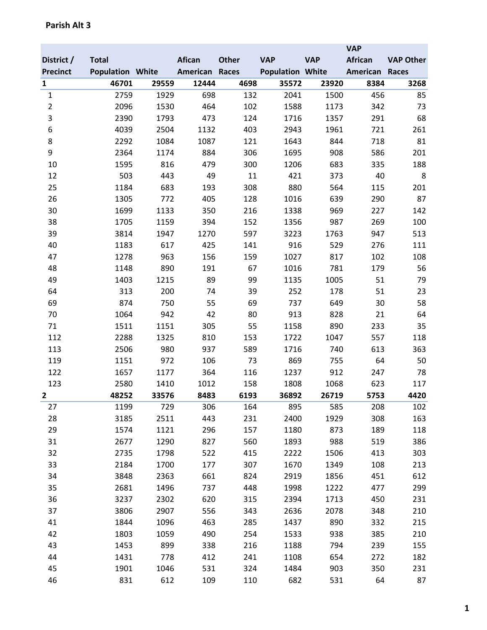|                 |                         |       |               |              |                         |            | <b>VAP</b>     |                  |
|-----------------|-------------------------|-------|---------------|--------------|-------------------------|------------|----------------|------------------|
| District /      | <b>Total</b>            |       | <b>Afican</b> | <b>Other</b> | <b>VAP</b>              | <b>VAP</b> | <b>African</b> | <b>VAP Other</b> |
| <b>Precinct</b> | <b>Population White</b> |       | American      | Races        | <b>Population White</b> |            | American       | <b>Races</b>     |
| $\mathbf{1}$    | 46701                   | 29559 | 12444         | 4698         | 35572                   | 23920      | 8384           | 3268             |
| $\mathbf{1}$    | 2759                    | 1929  | 698           | 132          | 2041                    | 1500       | 456            | 85               |
| $\overline{c}$  | 2096                    | 1530  | 464           | 102          | 1588                    | 1173       | 342            | 73               |
| 3               | 2390                    | 1793  | 473           | 124          | 1716                    | 1357       | 291            | 68               |
| 6               | 4039                    | 2504  | 1132          | 403          | 2943                    | 1961       | 721            | 261              |
| 8               | 2292                    | 1084  | 1087          | 121          | 1643                    | 844        | 718            | 81               |
| 9               | 2364                    | 1174  | 884           | 306          | 1695                    | 908        | 586            | 201              |
| 10              | 1595                    | 816   | 479           | 300          | 1206                    | 683        | 335            | 188              |
| 12              | 503                     | 443   | 49            | 11           | 421                     | 373        | 40             | 8                |
| 25              | 1184                    | 683   | 193           | 308          | 880                     | 564        | 115            | 201              |
| 26              | 1305                    | 772   | 405           | 128          | 1016                    | 639        | 290            | 87               |
| 30              | 1699                    | 1133  | 350           | 216          | 1338                    | 969        | 227            | 142              |
| 38              | 1705                    | 1159  | 394           | 152          | 1356                    | 987        | 269            | 100              |
| 39              | 3814                    | 1947  | 1270          | 597          | 3223                    | 1763       | 947            | 513              |
| 40              | 1183                    | 617   | 425           | 141          | 916                     | 529        | 276            | 111              |
| 47              | 1278                    | 963   | 156           | 159          | 1027                    | 817        | 102            | 108              |
| 48              | 1148                    | 890   | 191           | 67           | 1016                    | 781        | 179            | 56               |
| 49              | 1403                    | 1215  | 89            | 99           | 1135                    | 1005       | 51             | 79               |
| 64              | 313                     | 200   | 74            | 39           | 252                     | 178        | 51             | 23               |
| 69              | 874                     | 750   | 55            | 69           | 737                     | 649        | 30             | 58               |
| 70              | 1064                    | 942   | 42            | 80           | 913                     | 828        | 21             | 64               |
| 71              | 1511                    | 1151  | 305           | 55           | 1158                    | 890        | 233            | 35               |
| 112             | 2288                    | 1325  | 810           | 153          | 1722                    | 1047       | 557            | 118              |
| 113             | 2506                    | 980   | 937           | 589          | 1716                    | 740        | 613            | 363              |
| 119             | 1151                    | 972   | 106           | 73           | 869                     | 755        | 64             | 50               |
| 122             | 1657                    | 1177  | 364           | 116          | 1237                    | 912        | 247            | 78               |
| 123             | 2580                    | 1410  | 1012          | 158          | 1808                    | 1068       | 623            | 117              |
| 2               | 48252                   | 33576 | 8483          | 6193         | 36892                   | 26719      | 5753           | 4420             |
| 27              | 1199                    | 729   | 306           | 164          | 895                     | 585        | 208            | 102              |
| 28              | 3185                    | 2511  | 443           | 231          | 2400                    | 1929       | 308            | 163              |
| 29              | 1574                    | 1121  | 296           | 157          | 1180                    | 873        | 189            | 118              |
| 31              | 2677                    | 1290  | 827           | 560          | 1893                    | 988        | 519            | 386              |
| 32              | 2735                    | 1798  | 522           | 415          | 2222                    | 1506       | 413            | 303              |
| 33              | 2184                    | 1700  | 177           | 307          | 1670                    | 1349       | 108            | 213              |
| 34              | 3848                    | 2363  | 661           | 824          | 2919                    | 1856       | 451            | 612              |
| 35              | 2681                    | 1496  | 737           | 448          | 1998                    | 1222       | 477            | 299              |
| 36              | 3237                    | 2302  | 620           | 315          | 2394                    | 1713       | 450            | 231              |
| 37              | 3806                    | 2907  | 556           | 343          | 2636                    | 2078       | 348            | 210              |
| 41              | 1844                    | 1096  | 463           | 285          | 1437                    | 890        | 332            | 215              |
| 42              | 1803                    | 1059  | 490           | 254          | 1533                    | 938        | 385            | 210              |
| 43              | 1453                    | 899   | 338           | 216          | 1188                    | 794        | 239            | 155              |
| 44              | 1431                    | 778   | 412           | 241          | 1108                    | 654        | 272            | 182              |
| 45              | 1901                    | 1046  | 531           | 324          | 1484                    | 903        | 350            | 231              |
| 46              | 831                     | 612   | 109           | 110          | 682                     | 531        | 64             | 87               |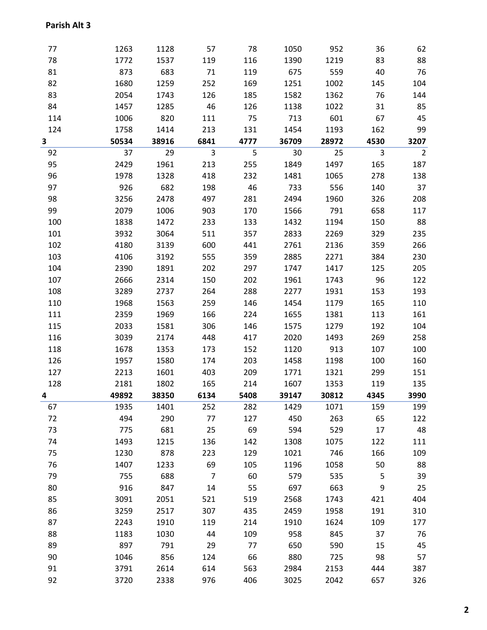| 77  | 1263  | 1128  | 57             | 78   | 1050  | 952   | 36   | 62             |
|-----|-------|-------|----------------|------|-------|-------|------|----------------|
| 78  | 1772  | 1537  | 119            | 116  | 1390  | 1219  | 83   | 88             |
| 81  | 873   | 683   | 71             | 119  | 675   | 559   | 40   | 76             |
| 82  | 1680  | 1259  | 252            | 169  | 1251  | 1002  | 145  | 104            |
| 83  | 2054  | 1743  | 126            | 185  | 1582  | 1362  | 76   | 144            |
| 84  | 1457  | 1285  | 46             | 126  | 1138  | 1022  | 31   | 85             |
| 114 | 1006  | 820   | 111            | 75   | 713   | 601   | 67   | 45             |
| 124 | 1758  | 1414  | 213            | 131  | 1454  | 1193  | 162  | 99             |
| 3   | 50534 | 38916 | 6841           | 4777 | 36709 | 28972 | 4530 | 3207           |
| 92  | 37    | 29    | 3              | 5    | 30    | 25    | 3    | $\overline{2}$ |
| 95  | 2429  | 1961  | 213            | 255  | 1849  | 1497  | 165  | 187            |
| 96  | 1978  | 1328  | 418            | 232  | 1481  | 1065  | 278  | 138            |
| 97  | 926   | 682   | 198            | 46   | 733   | 556   | 140  | 37             |
| 98  | 3256  | 2478  | 497            | 281  | 2494  | 1960  | 326  | 208            |
| 99  | 2079  | 1006  | 903            | 170  | 1566  | 791   | 658  | 117            |
| 100 | 1838  | 1472  | 233            | 133  | 1432  | 1194  | 150  | 88             |
| 101 | 3932  | 3064  | 511            | 357  | 2833  | 2269  | 329  | 235            |
| 102 | 4180  | 3139  | 600            | 441  | 2761  | 2136  | 359  | 266            |
| 103 | 4106  | 3192  | 555            | 359  | 2885  | 2271  | 384  | 230            |
| 104 | 2390  | 1891  | 202            | 297  | 1747  | 1417  | 125  | 205            |
| 107 | 2666  | 2314  | 150            | 202  | 1961  | 1743  | 96   | 122            |
| 108 | 3289  | 2737  | 264            | 288  | 2277  | 1931  | 153  | 193            |
| 110 | 1968  | 1563  | 259            | 146  | 1454  | 1179  | 165  | 110            |
| 111 | 2359  | 1969  | 166            | 224  | 1655  | 1381  | 113  | 161            |
| 115 | 2033  | 1581  | 306            | 146  | 1575  | 1279  | 192  | 104            |
| 116 | 3039  | 2174  | 448            | 417  | 2020  | 1493  | 269  | 258            |
| 118 | 1678  | 1353  | 173            | 152  | 1120  | 913   | 107  | 100            |
| 126 | 1957  | 1580  | 174            | 203  | 1458  | 1198  | 100  | 160            |
| 127 | 2213  | 1601  | 403            | 209  | 1771  | 1321  | 299  | 151            |
| 128 | 2181  | 1802  | 165            | 214  | 1607  | 1353  | 119  | 135            |
| 4   | 49892 | 38350 | 6134           | 5408 | 39147 | 30812 | 4345 | 3990           |
| 67  | 1935  | 1401  | 252            | 282  | 1429  | 1071  | 159  | 199            |
| 72  | 494   | 290   | 77             | 127  | 450   | 263   | 65   | 122            |
| 73  | 775   | 681   | 25             | 69   | 594   | 529   | 17   | 48             |
| 74  | 1493  | 1215  | 136            | 142  | 1308  | 1075  | 122  | 111            |
| 75  | 1230  | 878   | 223            | 129  | 1021  | 746   | 166  | 109            |
| 76  | 1407  | 1233  | 69             | 105  | 1196  | 1058  | 50   | 88             |
| 79  | 755   | 688   | $\overline{7}$ | 60   | 579   | 535   | 5    | 39             |
| 80  | 916   | 847   | 14             | 55   | 697   | 663   | 9    | 25             |
| 85  | 3091  | 2051  | 521            | 519  | 2568  | 1743  | 421  | 404            |
| 86  | 3259  | 2517  | 307            | 435  | 2459  | 1958  | 191  | 310            |
| 87  | 2243  | 1910  | 119            | 214  | 1910  | 1624  | 109  | 177            |
| 88  | 1183  | 1030  | 44             | 109  | 958   | 845   | 37   | 76             |
| 89  | 897   | 791   | 29             | 77   | 650   | 590   | 15   | 45             |
| 90  | 1046  | 856   | 124            | 66   | 880   | 725   | 98   | 57             |
| 91  | 3791  | 2614  | 614            | 563  | 2984  | 2153  | 444  | 387            |
| 92  | 3720  | 2338  | 976            | 406  | 3025  | 2042  | 657  | 326            |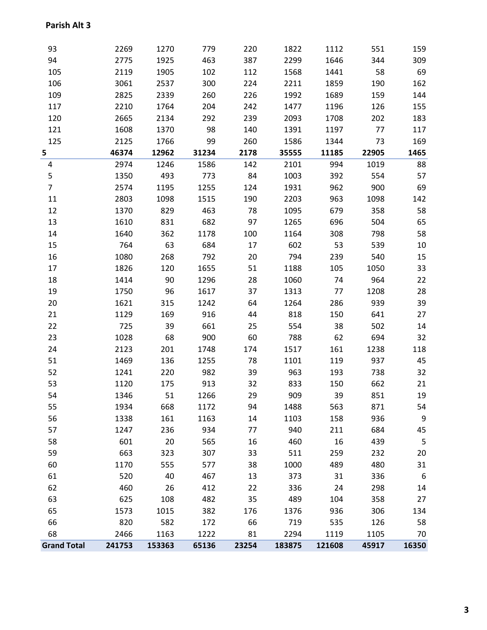| 93                 | 2269   | 1270   | 779   | 220   | 1822   | 1112   | 551   | 159         |
|--------------------|--------|--------|-------|-------|--------|--------|-------|-------------|
| 94                 | 2775   | 1925   | 463   | 387   | 2299   | 1646   | 344   | 309         |
| 105                | 2119   | 1905   | 102   | 112   | 1568   | 1441   | 58    | 69          |
| 106                | 3061   | 2537   | 300   | 224   | 2211   | 1859   | 190   | 162         |
| 109                | 2825   | 2339   | 260   | 226   | 1992   | 1689   | 159   | 144         |
| 117                | 2210   | 1764   | 204   | 242   | 1477   | 1196   | 126   | 155         |
| 120                | 2665   | 2134   | 292   | 239   | 2093   | 1708   | 202   | 183         |
| 121                | 1608   | 1370   | 98    | 140   | 1391   | 1197   | 77    | 117         |
| 125                | 2125   | 1766   | 99    | 260   | 1586   | 1344   | 73    | 169         |
| 5                  | 46374  | 12962  | 31234 | 2178  | 35555  | 11185  | 22905 | 1465        |
| 4                  | 2974   | 1246   | 1586  | 142   | 2101   | 994    | 1019  | 88          |
| 5                  | 1350   | 493    | 773   | 84    | 1003   | 392    | 554   | 57          |
| $\overline{7}$     | 2574   | 1195   | 1255  | 124   | 1931   | 962    | 900   | 69          |
| 11                 | 2803   | 1098   | 1515  | 190   | 2203   | 963    | 1098  | 142         |
| 12                 | 1370   | 829    | 463   | 78    | 1095   | 679    | 358   | 58          |
| 13                 | 1610   | 831    | 682   | 97    | 1265   | 696    | 504   | 65          |
| 14                 | 1640   | 362    | 1178  | 100   | 1164   | 308    | 798   | 58          |
| 15                 | 764    | 63     | 684   | 17    | 602    | 53     | 539   | 10          |
| 16                 | 1080   | 268    | 792   | 20    | 794    | 239    | 540   | 15          |
| 17                 | 1826   | 120    | 1655  | 51    | 1188   | 105    | 1050  | 33          |
| 18                 | 1414   | 90     | 1296  | 28    | 1060   | 74     | 964   | 22          |
| 19                 | 1750   | 96     | 1617  | 37    | 1313   | 77     | 1208  | 28          |
| 20                 | 1621   | 315    | 1242  | 64    | 1264   | 286    | 939   | 39          |
| 21                 | 1129   | 169    | 916   | 44    | 818    | 150    | 641   | 27          |
| 22                 | 725    | 39     | 661   | 25    | 554    | 38     | 502   | 14          |
| 23                 | 1028   | 68     | 900   | 60    | 788    | 62     | 694   | 32          |
| 24                 | 2123   | 201    | 1748  | 174   | 1517   | 161    | 1238  | 118         |
| 51                 | 1469   | 136    | 1255  | 78    | 1101   | 119    | 937   | 45          |
| 52                 | 1241   | 220    | 982   | 39    | 963    | 193    | 738   | 32          |
| 53                 | 1120   | 175    | 913   | 32    | 833    | 150    | 662   | 21          |
| 54                 | 1346   | 51     | 1266  | 29    | 909    | 39     | 851   | 19          |
| 55                 | 1934   | 668    | 1172  | 94    | 1488   | 563    | 871   | 54          |
| 56                 | 1338   | 161    | 1163  | 14    | 1103   | 158    | 936   | $\mathsf 9$ |
| 57                 | 1247   | 236    | 934   | 77    | 940    | 211    | 684   | 45          |
| 58                 | 601    | 20     | 565   | 16    | 460    | 16     | 439   | 5           |
| 59                 | 663    | 323    | 307   | 33    | 511    | 259    | 232   | 20          |
| 60                 | 1170   | 555    | 577   | 38    | 1000   | 489    | 480   | 31          |
| 61                 | 520    | 40     | 467   | 13    | 373    | 31     | 336   | 6           |
| 62                 | 460    | 26     | 412   | 22    | 336    | 24     | 298   | 14          |
| 63                 | 625    | 108    | 482   | 35    | 489    | 104    | 358   | 27          |
| 65                 | 1573   | 1015   | 382   | 176   | 1376   | 936    | 306   | 134         |
| 66                 | 820    | 582    | 172   | 66    | 719    | 535    | 126   | 58          |
| 68                 | 2466   | 1163   | 1222  | 81    | 2294   | 1119   | 1105  | 70          |
| <b>Grand Total</b> | 241753 | 153363 | 65136 | 23254 | 183875 | 121608 | 45917 | 16350       |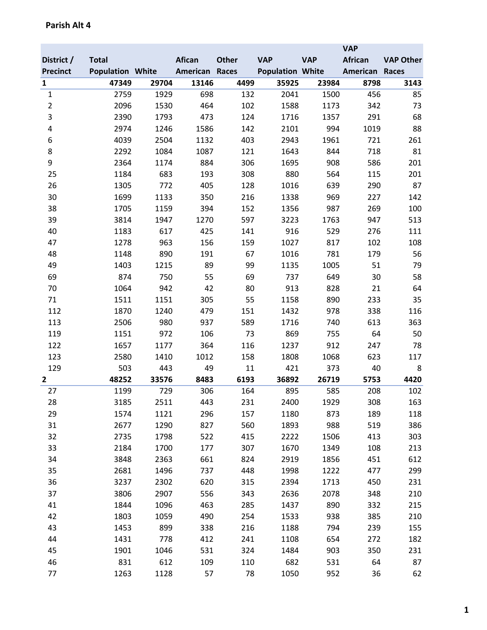|                 |                         |       |               |              |                         |            | <b>VAP</b>     |                  |
|-----------------|-------------------------|-------|---------------|--------------|-------------------------|------------|----------------|------------------|
| District /      | <b>Total</b>            |       | <b>Afican</b> | <b>Other</b> | <b>VAP</b>              | <b>VAP</b> | <b>African</b> | <b>VAP Other</b> |
| <b>Precinct</b> | <b>Population White</b> |       | American      | Races        | <b>Population White</b> |            | American       | <b>Races</b>     |
| $\mathbf{1}$    | 47349                   | 29704 | 13146         | 4499         | 35925                   | 23984      | 8798           | 3143             |
| $\mathbf{1}$    | 2759                    | 1929  | 698           | 132          | 2041                    | 1500       | 456            | 85               |
| $\overline{2}$  | 2096                    | 1530  | 464           | 102          | 1588                    | 1173       | 342            | 73               |
| 3               | 2390                    | 1793  | 473           | 124          | 1716                    | 1357       | 291            | 68               |
| 4               | 2974                    | 1246  | 1586          | 142          | 2101                    | 994        | 1019           | 88               |
| 6               | 4039                    | 2504  | 1132          | 403          | 2943                    | 1961       | 721            | 261              |
| 8               | 2292                    | 1084  | 1087          | 121          | 1643                    | 844        | 718            | 81               |
| 9               | 2364                    | 1174  | 884           | 306          | 1695                    | 908        | 586            | 201              |
| 25              | 1184                    | 683   | 193           | 308          | 880                     | 564        | 115            | 201              |
| 26              | 1305                    | 772   | 405           | 128          | 1016                    | 639        | 290            | 87               |
| 30              | 1699                    | 1133  | 350           | 216          | 1338                    | 969        | 227            | 142              |
| 38              | 1705                    | 1159  | 394           | 152          | 1356                    | 987        | 269            | 100              |
| 39              | 3814                    | 1947  | 1270          | 597          | 3223                    | 1763       | 947            | 513              |
| 40              | 1183                    | 617   | 425           | 141          | 916                     | 529        | 276            | 111              |
| 47              | 1278                    | 963   | 156           | 159          | 1027                    | 817        | 102            | 108              |
| 48              | 1148                    | 890   | 191           | 67           | 1016                    | 781        | 179            | 56               |
| 49              | 1403                    | 1215  | 89            | 99           | 1135                    | 1005       | 51             | 79               |
| 69              | 874                     | 750   | 55            | 69           | 737                     | 649        | 30             | 58               |
| 70              | 1064                    | 942   | 42            | 80           | 913                     | 828        | 21             | 64               |
| 71              | 1511                    | 1151  | 305           | 55           | 1158                    | 890        | 233            | 35               |
| 112             | 1870                    | 1240  | 479           | 151          | 1432                    | 978        | 338            | 116              |
| 113             | 2506                    | 980   | 937           | 589          | 1716                    | 740        | 613            | 363              |
| 119             | 1151                    | 972   | 106           | 73           | 869                     | 755        | 64             | 50               |
| 122             | 1657                    | 1177  | 364           | 116          | 1237                    | 912        | 247            | 78               |
| 123             | 2580                    | 1410  | 1012          | 158          | 1808                    | 1068       | 623            | 117              |
| 129             | 503                     | 443   | 49            | 11           | 421                     | 373        | 40             | 8                |
| 2               | 48252                   | 33576 | 8483          | 6193         | 36892                   | 26719      | 5753           | 4420             |
| 27              | 1199                    | 729   | 306           | 164          | 895                     | 585        | 208            | 102              |
| 28              | 3185                    | 2511  | 443           | 231          | 2400                    | 1929       | 308            | 163              |
| 29              | 1574                    | 1121  | 296           | 157          | 1180                    | 873        | 189            | 118              |
| 31              | 2677                    | 1290  | 827           | 560          | 1893                    | 988        | 519            | 386              |
| 32              | 2735                    | 1798  | 522           | 415          | 2222                    | 1506       | 413            | 303              |
| 33              | 2184                    | 1700  | 177           | 307          | 1670                    | 1349       | 108            | 213              |
| 34              | 3848                    | 2363  | 661           | 824          | 2919                    | 1856       | 451            | 612              |
| 35              | 2681                    | 1496  | 737           | 448          | 1998                    | 1222       | 477            | 299              |
| 36              | 3237                    | 2302  | 620           | 315          | 2394                    | 1713       | 450            | 231              |
| 37              | 3806                    | 2907  | 556           | 343          | 2636                    | 2078       | 348            | 210              |
| 41              | 1844                    | 1096  | 463           | 285          | 1437                    | 890        | 332            | 215              |
| 42              | 1803                    | 1059  | 490           | 254          | 1533                    | 938        | 385            | 210              |
| 43              | 1453                    | 899   | 338           | 216          | 1188                    | 794        | 239            | 155              |
| 44              | 1431                    | 778   | 412           | 241          | 1108                    | 654        | 272            | 182              |
| 45              | 1901                    | 1046  | 531           | 324          | 1484                    | 903        | 350            | 231              |
| 46              | 831                     | 612   | 109           | 110          | 682                     | 531        | 64             | 87               |
| 77              | 1263                    | 1128  | 57            | 78           | 1050                    | 952        | 36             | 62               |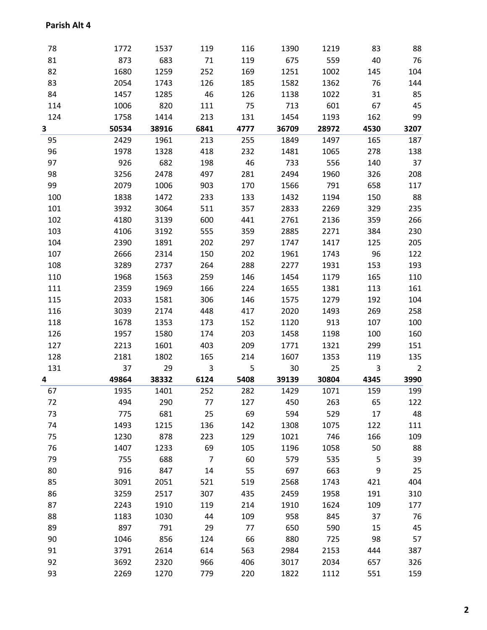| 78       | 1772        | 1537         | 119            | 116       | 1390        | 1219        | 83       | 88             |
|----------|-------------|--------------|----------------|-----------|-------------|-------------|----------|----------------|
| 81       | 873         | 683          | 71             | 119       | 675         | 559         | 40       | 76             |
| 82       | 1680        | 1259         | 252            | 169       | 1251        | 1002        | 145      | 104            |
| 83       | 2054        | 1743         | 126            | 185       | 1582        | 1362        | 76       | 144            |
| 84       | 1457        | 1285         | 46             | 126       | 1138        | 1022        | 31       | 85             |
| 114      | 1006        | 820          | 111            | 75        | 713         | 601         | 67       | 45             |
| 124      | 1758        | 1414         | 213            | 131       | 1454        | 1193        | 162      | 99             |
| 3        | 50534       | 38916        | 6841           | 4777      | 36709       | 28972       | 4530     | 3207           |
| 95       | 2429        | 1961         | 213            | 255       | 1849        | 1497        | 165      | 187            |
| 96       | 1978        | 1328         | 418            | 232       | 1481        | 1065        | 278      | 138            |
| 97       | 926         | 682          | 198            | 46        | 733         | 556         | 140      | 37             |
| 98       | 3256        | 2478         | 497            | 281       | 2494        | 1960        | 326      | 208            |
| 99       | 2079        | 1006         | 903            | 170       | 1566        | 791         | 658      | 117            |
| 100      | 1838        | 1472         | 233            | 133       | 1432        | 1194        | 150      | 88             |
| 101      | 3932        | 3064         | 511            | 357       | 2833        | 2269        | 329      | 235            |
| 102      | 4180        | 3139         | 600            | 441       | 2761        | 2136        | 359      | 266            |
| 103      | 4106        | 3192         | 555            | 359       | 2885        | 2271        | 384      | 230            |
| 104      | 2390        | 1891         | 202            | 297       | 1747        | 1417        | 125      | 205            |
| 107      | 2666        | 2314         | 150            | 202       | 1961        | 1743        | 96       | 122            |
| 108      | 3289        | 2737         | 264            | 288       | 2277        | 1931        | 153      | 193            |
| 110      | 1968        | 1563         | 259            | 146       | 1454        | 1179        | 165      | 110            |
| 111      | 2359        | 1969         | 166            | 224       | 1655        | 1381        | 113      | 161            |
| 115      | 2033        | 1581         | 306            | 146       | 1575        | 1279        | 192      | 104            |
| 116      | 3039        | 2174         | 448            | 417       | 2020        | 1493        | 269      | 258            |
| 118      | 1678        | 1353         | 173            | 152       | 1120        | 913         | 107      | 100            |
| 126      | 1957        | 1580         | 174            | 203       | 1458        | 1198        | 100      | 160            |
| 127      | 2213        | 1601         | 403            | 209       | 1771        | 1321        | 299      | 151            |
| 128      | 2181        | 1802         | 165            | 214       | 1607        | 1353        | 119      | 135            |
| 131      | 37          | 29           | $\overline{3}$ | 5         | 30          | 25          | 3        | $\overline{2}$ |
| 4        | 49864       | 38332        | 6124           | 5408      | 39139       | 30804       | 4345     | 3990           |
| 67       | 1935        | 1401         | 252            | 282       | 1429        | 1071        | 159      | 199            |
| 72<br>73 | 494         | 290<br>681   | 77<br>25       | 127<br>69 | 450         | 263         | 65<br>17 | 122<br>48      |
| 74       | 775<br>1493 | 1215         | 136            | 142       | 594<br>1308 | 529<br>1075 | 122      | 111            |
| 75       | 1230        | 878          | 223            | 129       | 1021        | 746         | 166      | 109            |
| 76       | 1407        | 1233         | 69             | 105       | 1196        | 1058        | 50       | 88             |
| 79       | 755         | 688          | $\overline{7}$ | 60        | 579         | 535         | 5        | 39             |
| 80       | 916         | 847          | 14             | 55        | 697         | 663         | 9        | 25             |
| 85       | 3091        | 2051         | 521            | 519       | 2568        | 1743        | 421      | 404            |
| 86       | 3259        | 2517         | 307            | 435       | 2459        | 1958        | 191      | 310            |
| 87       | 2243        | 1910         | 119            | 214       | 1910        | 1624        | 109      | 177            |
| 88       | 1183        | 1030         | 44             | 109       | 958         | 845         | 37       | 76             |
| 89       | 897         | 791          | 29             | 77        | 650         | 590         | 15       | 45             |
| 90       | 1046        | 856          | 124            | 66        | 880         | 725         | 98       | 57             |
| 91       | 3791        |              | 614            | 563       | 2984        | 2153        | 444      | 387            |
| 92       | 3692        | 2614<br>2320 |                | 406       | 3017        | 2034        | 657      |                |
|          |             |              | 966            |           |             |             |          | 326            |
| 93       | 2269        | 1270         | 779            | 220       | 1822        | 1112        | 551      | 159            |